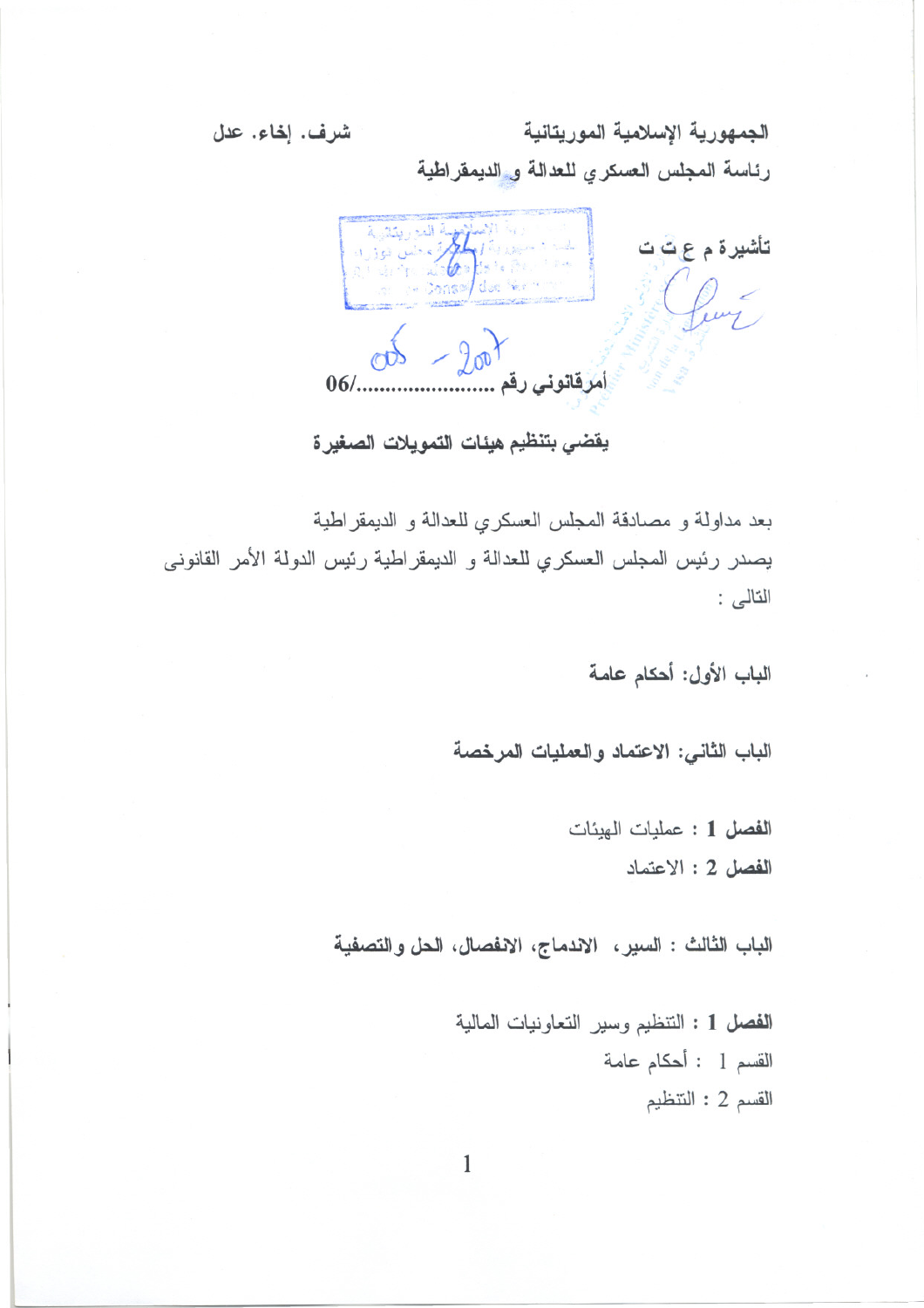شرف. إخاء. عدل

الجمهورية الإسلامية الموريتانية رئاسة المجلس العسكري للعدالة و الديمقراطية



يقضي بتنظيم هيئات التمويلات الصغيرة

بعد مداولة و مصادقة المجلس العسكري للعدالة و الديمقر اطية يصدر رئيس المجلس العسكري للعدالة و الديمقر اطية رئيس الدولة الأمر القانوني التالي :

الباب الأول: أحكام عامة

الباب الثاني: الاعتماد والعمليات المرخصة

الفصل 1 : عمليات الهيئات الفصل 2 : الاعتماد

الباب الثالث : السير، الاندماج، الانفصال، الحل والتصفية

الفصل 1 : التنظيم وسير التعاونيات المالية القسم 1 : أحكام عامة القسم 2 : التنظيم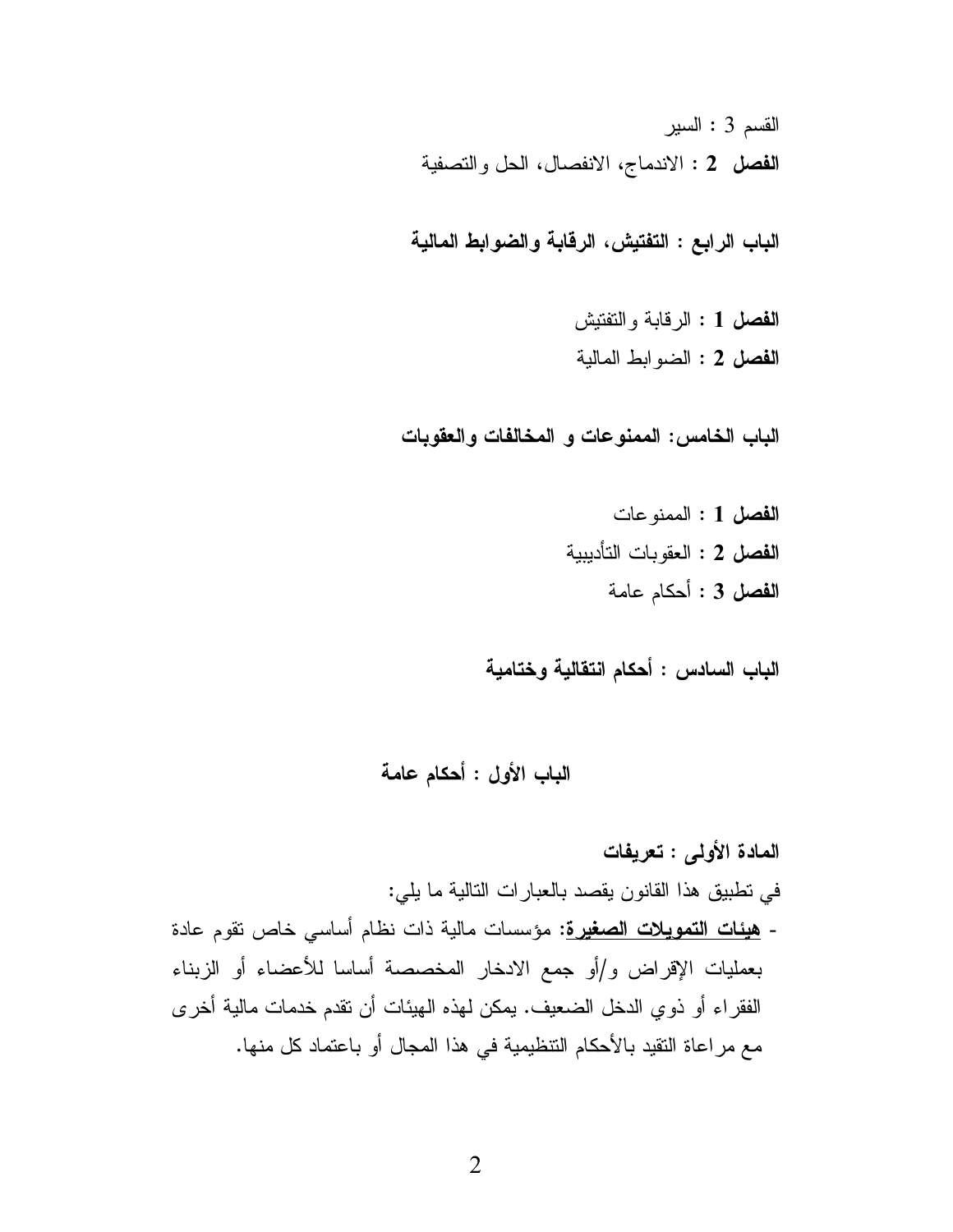القسم 3 : السير الفصل 2 : الاندماج، الانفصال، الحل والتصفية

الباب الرابع : التفتيش، الرقابة والضوابط المالية

الفصل 1 : الرقابة والتفتيش الفصل 2 : الضوابط المالية

الباب الخامس: الممنوعات و المخالفات والعقوبات

الفصل 1 : الممنو عات الفصل 2 : العقوبات التأديبية الفصل 3 : أحكام عامة

الباب السادس : أحكام انتقالية وختامية

الباب الأول : أحكام عامة

المادة الأولى : تعريفات في نطبيق هذا القانون يقصد بالعبارات النالية ما يلي: - <u>هيئات التمويلات الصغيرة</u>: مؤسسات مالية ذات نظام أساسي خاص نقوم عادة بعمليات الإقراض و/أو جمع الادخار المخصصة أساسا للأعضاء أو الزبناء الفقر اء أو ذو ي الدخل الضعيف. يمكن لهذه الهيئات أن نقدم خدمات مالية أخر ي مع مراعاة النقيد بالأحكام النتظيمية في هذا المجال أو باعتماد كل منها.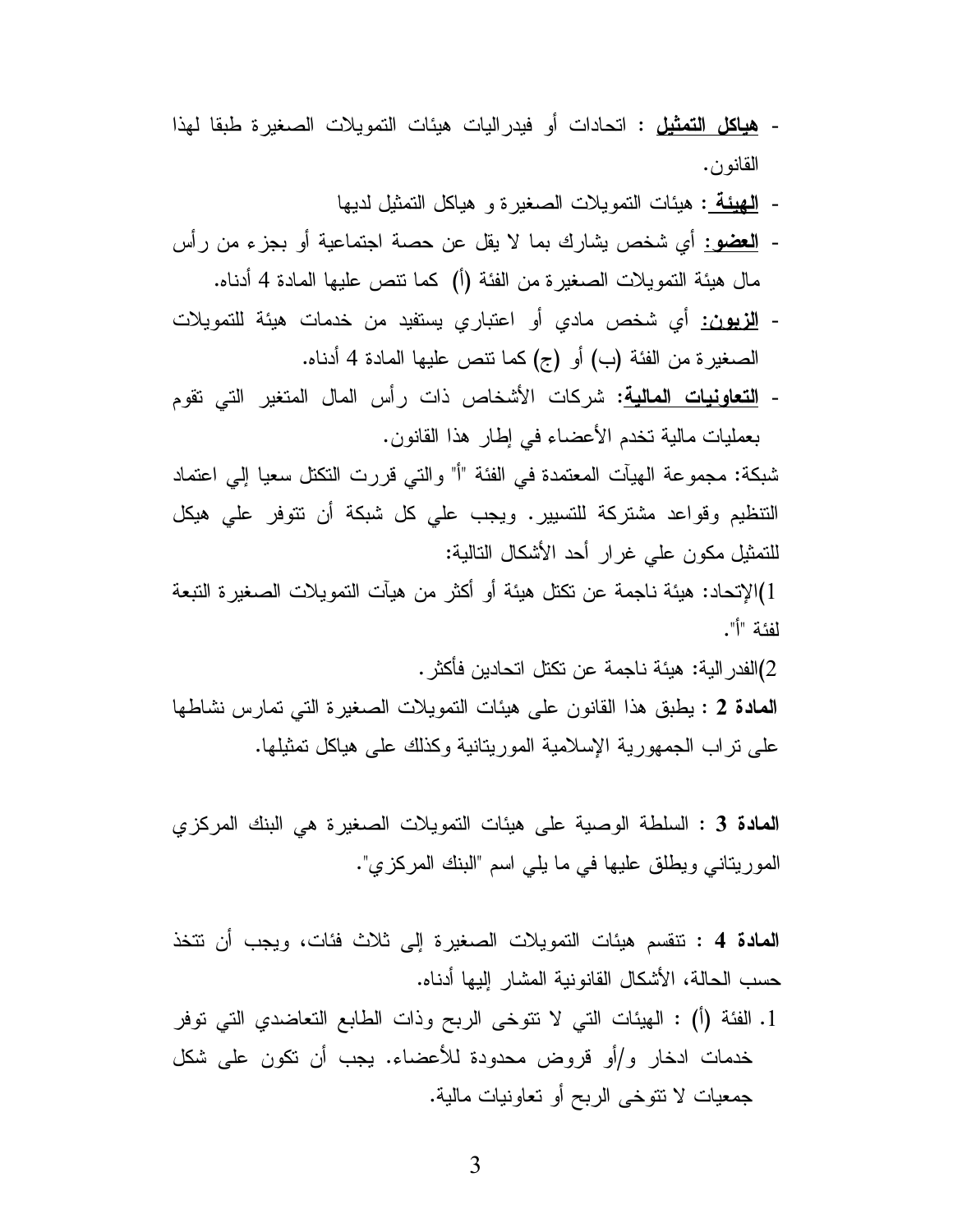- ه**ياكل التمثيل :** اتحادات أو فيدر اليات هيئات التمويلات الصـغير ة طبقا لـهذا القانون.
	- المُهِيئة : هيئات النَّمويلات الصغيرة و هياكل النَّمثيل لديها
- العضو: أي شخص بشارك بما لا يقل عن حصة اجتماعية أو بجزء من رأس مال هيئة النمويلات الصغيرة من الفئة (أ) كما نتص عليها المادة 4 أدناه.
- <mark>الزيون:</mark> أي شخص مادي أو اعتباري يستفيد من خدمات هيئة للتمويلات الصغير ة من الفئة (ب) أو (ج) كما نتص عليها المادة 4 أدناه.
- <mark>التعاونيات المالية</mark>: شركات الأشخاص ذات رأس المال المتغير التي تقوم بعمليات مالية تخدم الأعضاء في إطار هذا القانون.

شبكة: مجموعة الهيأت المعتمدة في الفئة "أ" والتي قررت النكتل سعيا إلى اعتماد التنظيم وقواعد مشتركة للتسبير. ويجب على كل شبكة أن تتوفر على هيكل للتمثيل مكون على غرار أحد الأشكال التالية:

[)الإتحاد: هيئة ناجمة عن تكتل هيئة أو أكثر من هيآت التمو يلات الصـغير ة التبعة لفئة "أ".

2)الفدر الية: هيئة ناجمة عن تكتل اتحادين فأكثر .

المعادة 2 : يطبق هذا القانون على هيئات التمويلات الصغيرة التي تمارس نشاطها على نراب الجمهورية الإسلامية المورينانية وكذلك على هياكل تمثيلها.

المعادة 3 : السلطة الوصية على هيئات التمويلات الصغيرة هي البنك المركزي الموريتاني ويطلق عليها في ما يلي اسم "البنك المركزي".

**المادة 4 :** نتقسم هيئات التمويلات الصغيرة إلى ثلاث فئات، ويجب أن نتخذ حسب الحالة، الأشكال القانو نية المشار ِ إليها أدناه.

1. الفئة (أ) : الهيئات التي لا نتوخى الربح وذات الطابع التعاضدي التي توفر خدمات ادخار و/أو قروض محدودة للأعضاء. يجب أن نكون على شكل جمعيات لا نتوخى الربح أو تعاونيات مالية.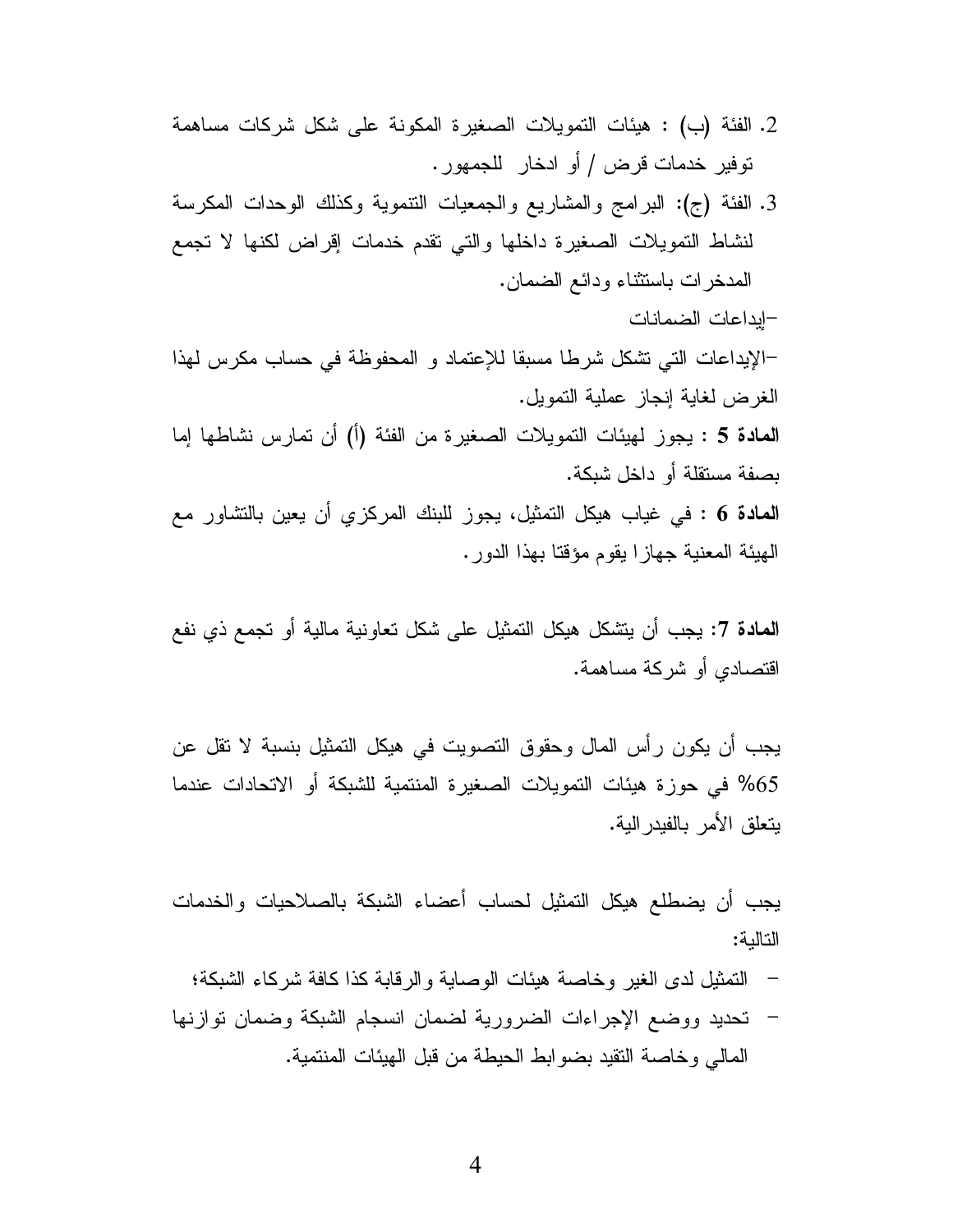- 2. الفئة (ب) : هيئات التمويلات الصغيرة المكونة على شكل شركات مساهمة توفير خدمات قرض / أو ادخار للجمهور.
- 3. الفئة (ج): البرامج والمشاريع والجمعيات النتموية وكذلك الوحدات المكرسة لنشاط التمويلات الصغيرة داخلها والتى نقدم خدمات إقراض لكنها لا تجمع المدخر ات باستثناء ودائع الضمان.

–الإيداعات التي تشكل شرطا مسبقا للإعتماد و المحفوظة في حساب مكر س لهذا الغرض لغاية إنجاز عملية النمويل. المعادة 5 : يجوز لمهيئات التمويلات الصغيرة من الفئة (أ) أن تمارس نشاطها إما

–إبداعات الضمانات

بصفة مستقلة أو داخل شبكة.

**المادة 6 : ف**ي غياب هيكل التمثيل، يجوز للبنك المركزي أن يعين بالتشاور مع الهيئة المعنية جهازا يقوم مؤقتا بهذا الدور .

**المادة 7:** يجب أن يتشكل هيكل التمثيل على شكل تعاونية مالية أو تجمع ذي نفع اقتصـادي أو شركـة مساهمـة.

يجب أن يكون رأس المال وحقوق التصويت في هيكل التمثيل بنسبة لا تقل عن 65% في حوزة هيئات التمويلات الصغيرة المنتمية للشبكة أو الاتحادات عندما بتعلق الأمر بالفبدر البة.

يجب أن يضطلع هيكل التمثيل لحساب أعضاء الشبكة بالصلاحيات والخدمات التالىة:

- النَّمثيل لدى الغير وخاصة هيئات الوصابة والرقابة كذا كافة شركاء الشبكة؛
- تحديد ووضع الإجراءات الضرورية لضمان انسجام الشبكة وضمان توازنها المالي و خاصبة النقيد بضو ابط الحيطة من قبل الهيئات المنتمية.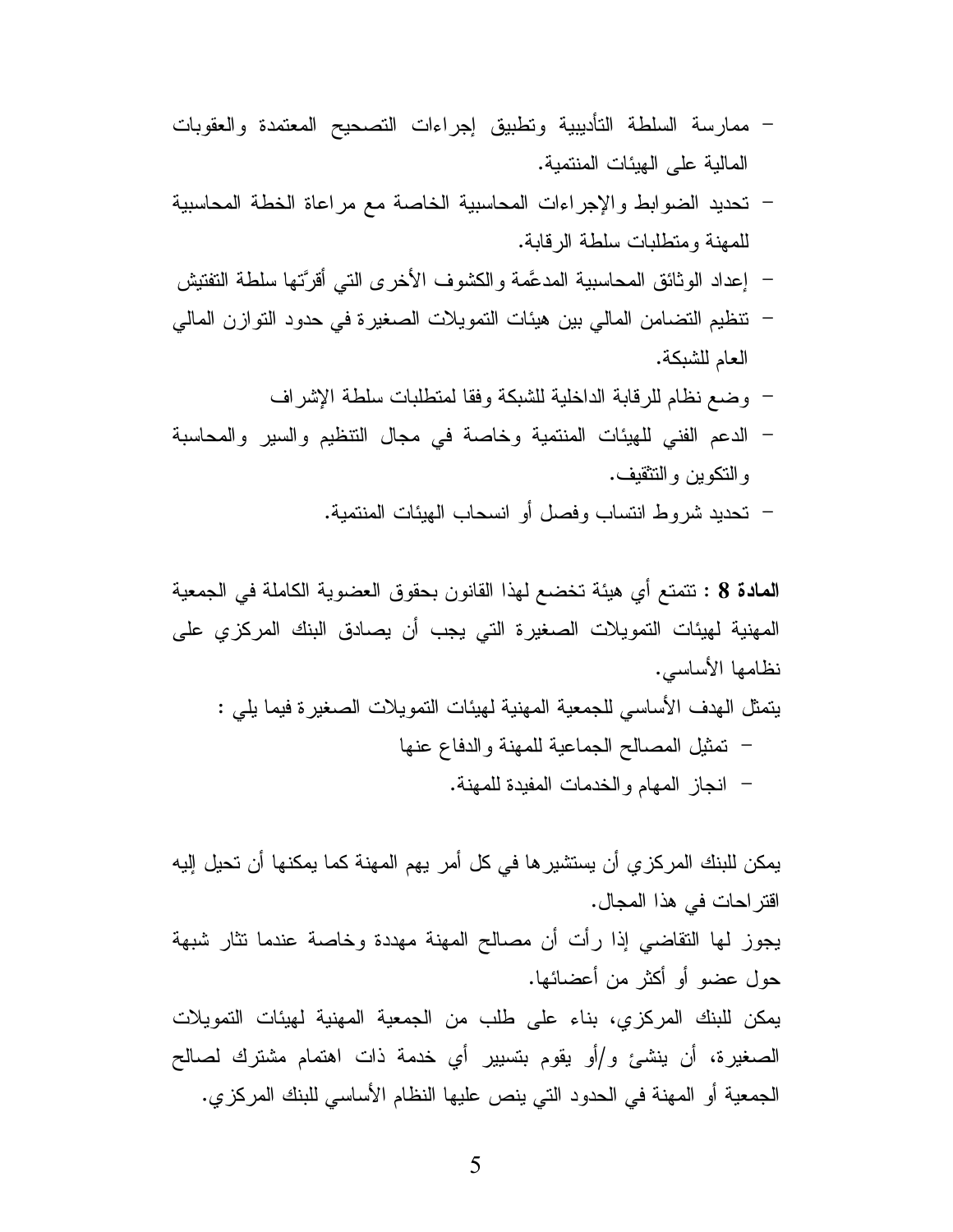- ممارسة السلطة التأديبية وتطبيق إجراءات التصحيح المعتمدة والعقوبات المالية على الهيئات المنتمية.
- تحديد الضوابط والإجراءات المحاسبية الخاصة مع مراعاة الخطة المحاسبية للمهنة ومتطلبات سلطة الرقابة.
- إعداد الو ثائق المحاسبية المدعَّمة و الكشوف الأخر ي التي أقرَّتها سلطة التفتيش
- نتظيم التضامن المالي بين هيئات التمويلات الصغيرة في حدود التوازن المالي العام للشبكة.
	- وضع نظام للرقابة الداخلية للشبكة وفقا لمنطلبات سلطة الإشراف
- الدعم الفني للهيئات المنتمية وخاصة في مجال التنظيم والسير والمحاسبة و النكوين و التثقيف.
	- تحديد شروط انتساب وفصل أو انسحاب الهيئات المنتمية.

المعادة 8 : نتمتع أي هيئة تخضع لهذا القانون بحقوق العضوية الكاملة في الجمعية المهنية لهيئات التمويلات الصغيرة التي يجب أن يصادق البنك المركزي على نظامها الأساسى. يتمثِّل الهدف الأساسي للجمعية المهنية لهيئات التمويلات الصغيرة فيما يلي : – تمثيل المصالح الجماعية للمهنة والدفاع عنها – انجاز المهام والخدمات المفيدة للمهنة.

يمكن للبنك المركز ٍي أن يستشير ِها في كل أمرٍ يهم المهنة كما يمكنها أن تحيل إليه اقتر احات في هذا المجال. يجوز لمها النقاضي إذا رأت أن مصالح المهنة مهددة وخاصة عندما نثار شبهة حول عضو أو أكثر من أعضائها. يمكن للبنك المركزي، بناء على طلب من الجمعية المهنية لهيئات التمويلات الصغيرة، أن ينشئ و/أو يقوم بتسيير أي خدمة ذات اهتمام مشترك لصالح الجمعية أو المهنة في الحدود التي ينص عليها النظام الأساسي للبنك المركزي.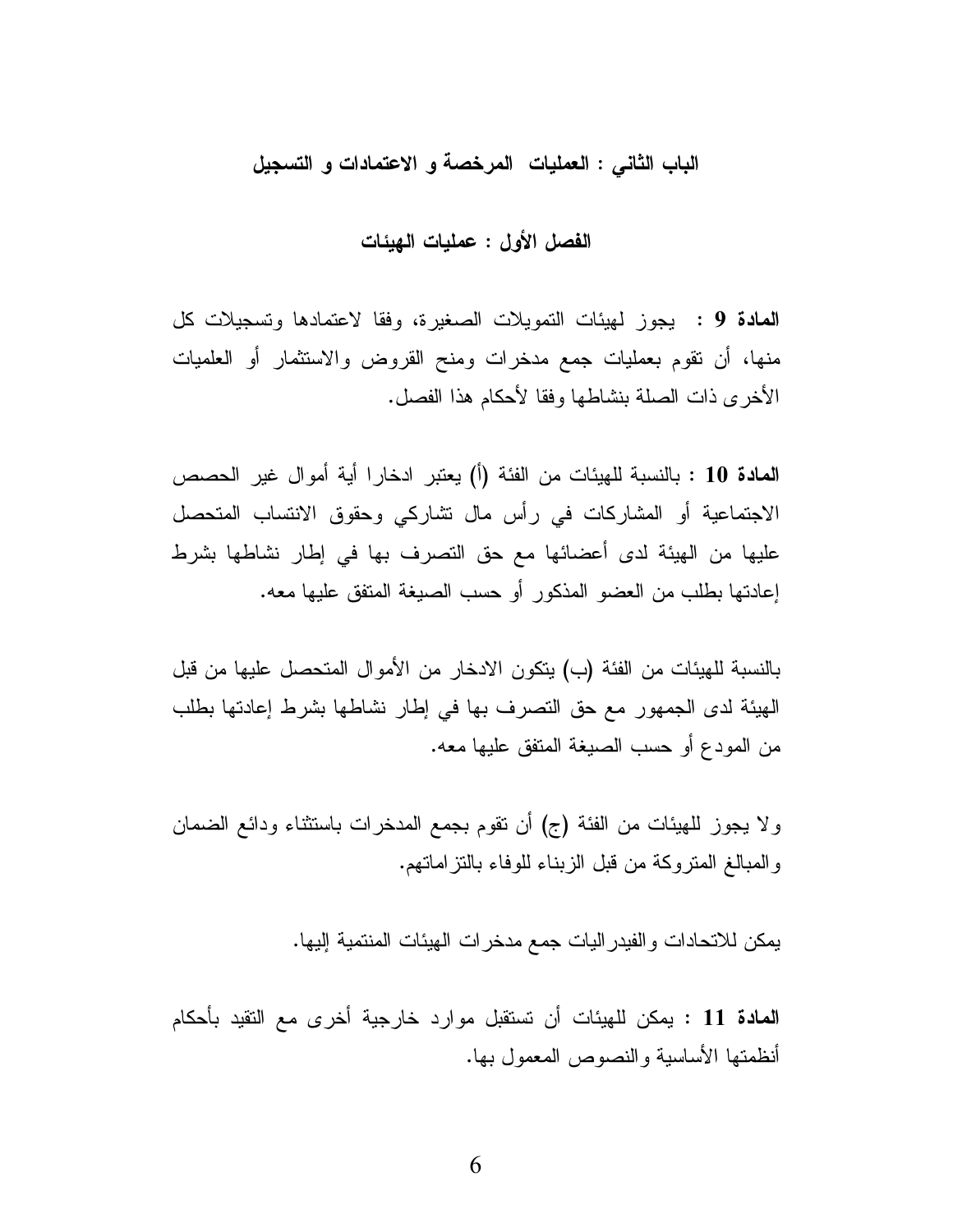### الباب الثاني : العمليات المرخصة و الاعتمادات و التسجيل

**المادة 9 :** يجوز لميئات التمويلات الصغيرة، وفقا لاعتمادها وتسجيلات كل منها، أن نقوم بعمليات جمع مدخرات ومنح القروض والاستثمار أو العلميات الأخرى ذات الصلة بنشاطها وفقا لأحكام هذا الفصل.

المعادة 10 : بالنسبة للهيئات من الفئة (أ) يعتبر ادخارا أية أموال غير الحصص الاجتماعية أو المشاركات في رأس مال نشاركي وحقوق الانتساب المتحصل عليها من الهيئة لدى أعضائها مع حق التصرف بها في إطار نشاطها بشرط إعادتها بطلب من العضو المذكور أو حسب الصبغة المتفق عليها معه.

بالنسبة للهيئات من الفئة (ب) يتكون الادخار من الأموال المتحصل عليها من قبل الهيئة لدى الجمهور مع حق التصرف بها في إطار نشاطها بشرط إعادتها بطلب من المودع أو حسب الصيغة المتفق عليها معه.

ولا يجوز للهيئات من الفئة (ج) أن نقوم بجمع المدخرات باستثناء ودائع الضمان و المبالغ المنز وكة من قبل الزبناء للوفاء بالنز إمانهم.

يمكن للاتحادات والفيدر اليات جمع مدخر ات الهيئات المنتمية إليها.

**المادة 11** : يمكن للهيئات أن تستقبل موارد خارجية أخرى مع التقيد بأحكام أنظمتها الأساسية والنصوص المعمول بها.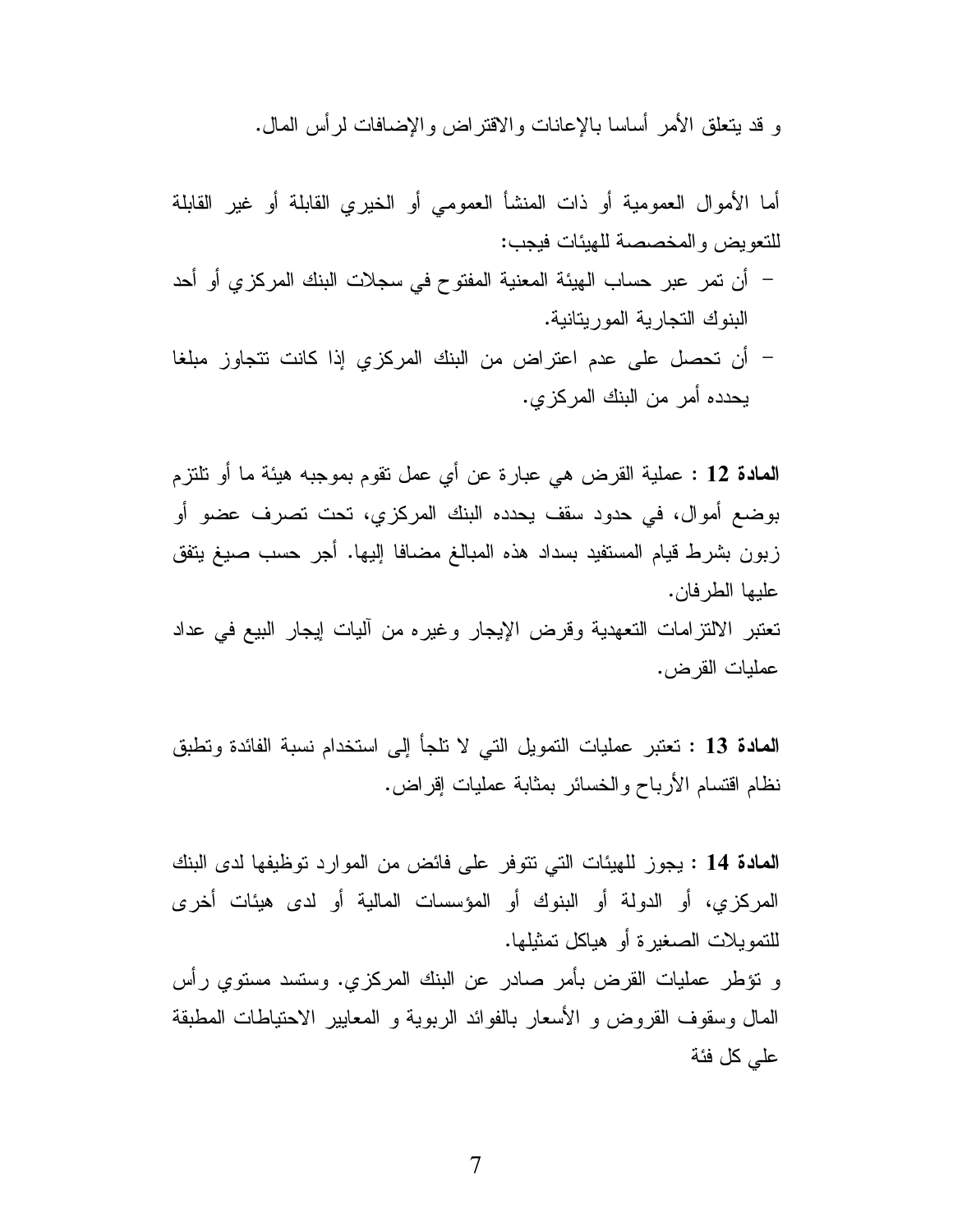و قد يتعلَّق الأمر أساسا بالإعانات والاقتراض والإضافات لرأس المال.

**المعادة 13** : تعتبر عمليات النمويل التي لا نلجأ إلى استخدام نسبة الفائدة ونطبق نظام اقتسام الأرباح والخسائر بمثابة عمليات إقراض.

المعادة 14 : يجوز للهيئات التي نتوفر على فائض من الموارد توظيفها لدى البنك المركزي، أو الدولة أو البنوك أو المؤسسات المالية أو لدى هيئات أخرى للتمويلات الصغيرة أو هياكل تمثيلها.

و نؤطر عمليات القرض بأمر صادر عن البنك المركزي. وستسد مستوي رأس المال وسقوف القروض و الأسعار بالفوائد الربوية و المعايير الاحتياطات المطبقة على كل فئة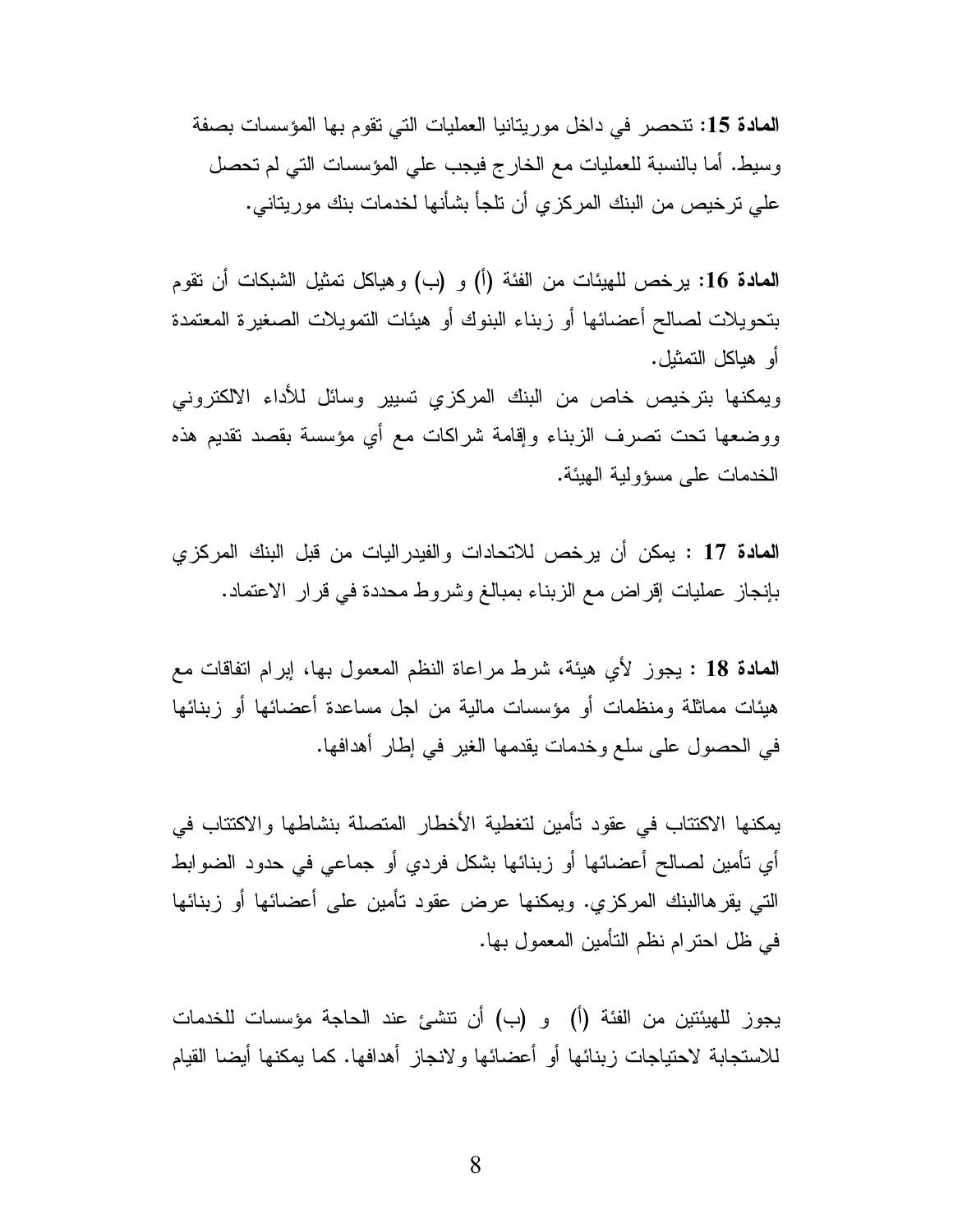المعادة 15: نتحصر في داخل موريتانيا العمليات التي تقوم بها المؤسسات بصفة وسيط. أما بالنسبة للعمليات مع الخارج فيجب على المؤسسات التي لم تحصل على ترخيص من البنك المركزي أن تلجأ بشأنها لخدمات بنك موريتاني.

المعادة 16: يرخص للهيئات من الفئة (أ) و (ب) وهياكل تمثيل الشبكات أن تقوم بتحويلات لصالح أعضائها أو زبناء البنوك أو هيئات التمويلات الصغيرة المعتمدة أو هياكل التمثيل.

ويمكنها بترخيص خاص من البنك المركزي تسيير وسائل للأداء الالكتروني ووضعها نحت نصرف الزبناء وإقامة شراكات مع أي مؤسسة بقصد نقديم هذه الخدمات على مسؤولية الهيئة.

**المادة 1**7 : يمكن أن يرخص للاتحادات والفيدراليات من قبل البنك المركزي بإنجاز عمليات إقراض مع الزبناء بمبالغ وشروط محددة في قرار الاعتماد.

المعادة 18 : يجوز لأي هيئة، شرط مراعاة النظم المعمول بها، إبرام انفاقات مع هيئات مماثلة ومنظمات أو مؤسسات مالية من اجل مساعدة أعضائها أو زبنائها في الحصول على سلع وخدمات يقدمها الغير في إطار أهدافها.

يمكنها الاكتتاب في عقود تأمين لتغطية الأخطار المتصلة بنشاطها والاكتتاب في أي تأمين لصـالـح أعضـائـها أو زبنـائـها بشكل فردي أو جماعـي فـي حدود الضوابط التـي بقر هاالبنك المركزي. ويمكنها عرض عقود نأمين علـي أعضـائها أو زبنـائها في ظل احتر ام نظم التأمين المعمول بها.

يجوز للهيئتين من الفئة (أ) و (ب) أن نتشئ عند الحاجة مؤسسات للخدمات للاستجابة لاحتياجات زبنائها أو أعضائها ولانجاز أهدافها. كما يمكنها أيضا القيام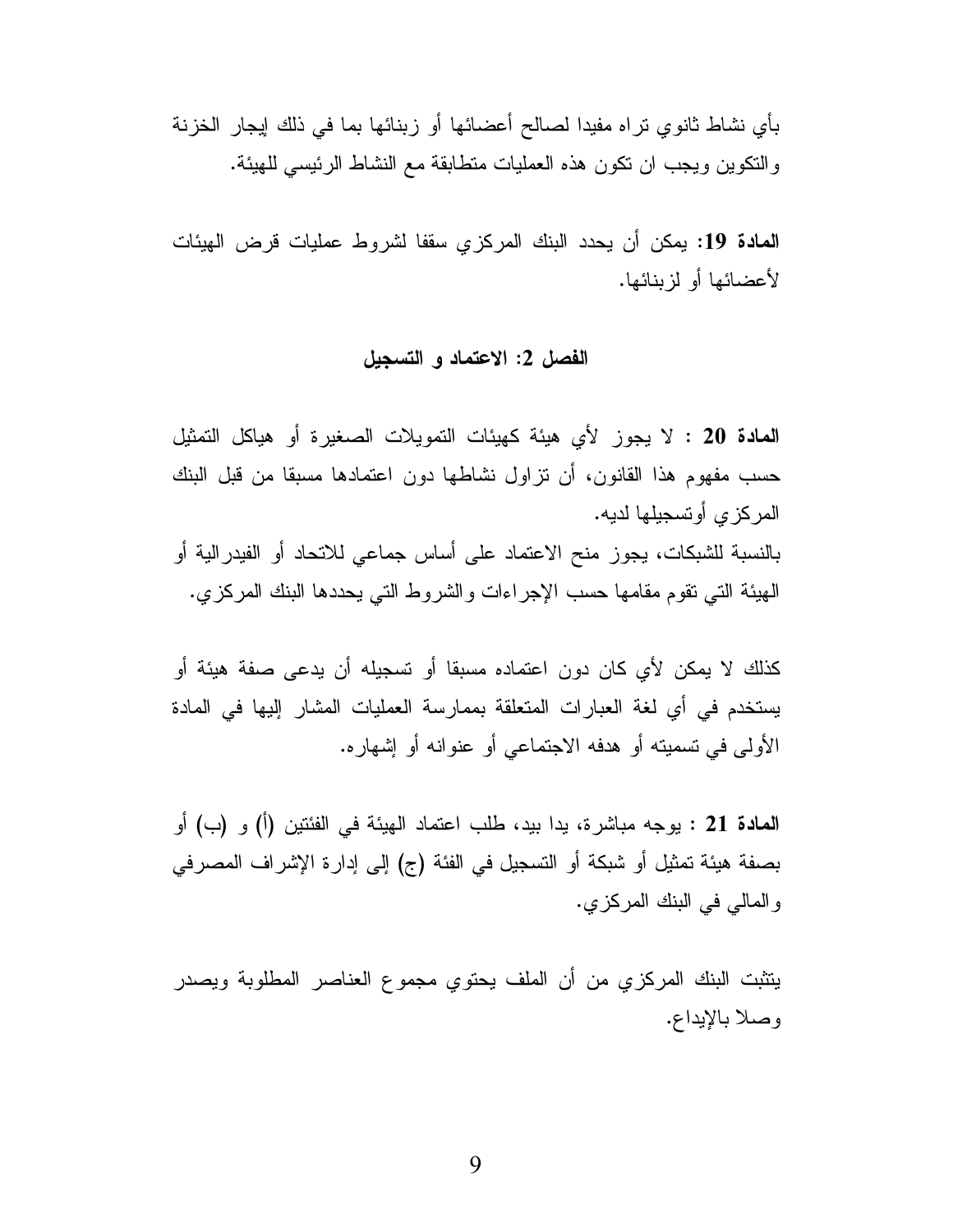بأي نشاط ثانوي تراه مفيدا لصالح أعضائها أو زبنائها بما في ذلك إيجار الخزنة والنكوين ويجب ان نكون هذه العمليات منطابقة مع النشاط الرئيسي للهيئة.

**المادة 19:** يمكن أن يحدد البنك المركز ي سقفا لشروط عمليات قرض الهيئات لأعضائها أو لزبنائها.

#### الفصل 2: الاعتماد و التسجيل

**المعادة 20 :** لا يجوز لأى هيئة كهيئات التمويلات الصغيرة أو هياكل التمثيل حسب مفهوم هذا القانون، أن نزاول نشاطها دون اعتمادها مسبقا من قبل البنك المركز ي أو تسجيلها لديه. بالنسبة للشبكات، يجوز منح الاعتماد على أساس جماعي للاتحاد أو الفيدرالية أو الهيئة التي تقوم مقامها حسب الإجراءات والشروط التي يحددها البنك المركزي.

كذلك لا يمكن لأي كان دون اعتماده مسبقا أو تسجيله أن يدعى صفة هيئة أو يستخدم في أي لغة العبارات المتعلقة بممارسة العمليات المشار إليها في المادة الأولى في نسميته أو هدفه الاجتماعي أو عنوانه أو إشهاره.

المعادة 21 : يوجه مباشرة، يدا بيد، طلب اعتماد الهيئة في الفئتين (أ) و (ب) أو بصفة هيئة تمثيل أو شبكة أو التسجيل في الفئة (ج) إلى إدارة الإشراف المصرفي والمالي في البنك المركزي.

يتثبت البنك المركزي من أن الملف يحتوي مجموع العناصر المطلوبة ويصدر وصلا بالإيداع.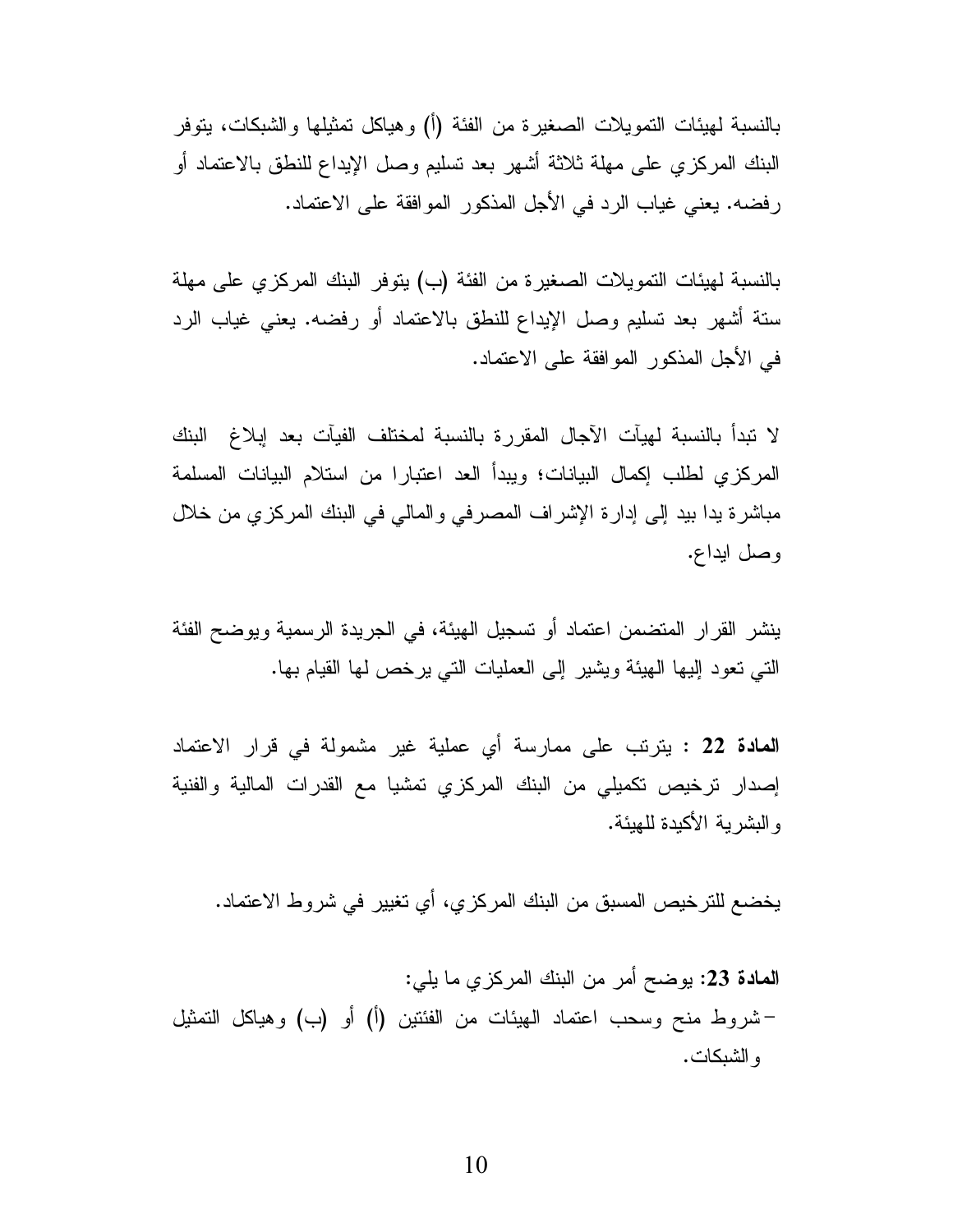بالنسبة لـهيئات التمويلات الصـغيرة من الفئة (أ) وهياكل تمثيلها والشبكات، يتوفر البنك المركزي على مهلة ثلاثة أشهر بعد نسليم وصل الإيداع للنطق بالاعتماد أو رفضه. يعني غياب الرد في الأجل المذكور الموافقة على الاعتماد.

بالنسبة لهيئات النمويلات الصغيرة من الفئة (ب) يتوفر البنك المركزي على مهلة ستة أشهر بعد تسليم وصل الإيداع للنطق بالاعتماد أو رفضه. يعني غياب الرد في الأجل المذكور الموافقة على الاعتماد.

لا نبدأ بالنسبة لهيآت الآجال المقررة بالنسبة لمختلف الفيآت بعد إبلاغ البنك المركزي لطلب إكمال البيانات؛ ويبدأ العد اعتبارا من استلام البيانات المسلمة مباشرة بدا بيد إلى إدارة الإشراف المصرفي والمالي في البنك المركزي من خلال وصل ايداع.

ينشر القرار المتضمن اعتماد أو نسجيل الهيئة، في الجريدة الرسمية ويوضح الفئة التبي نعود إليها الهيئة ويشير إلى العمليات التبي يرخص لها القيام بها.

**المعادة 22 :** يترتب على ممارسة أي عملية غير مشمولة في قرار الاعتماد إصدار ترخيص تكميلي من البنك المركزي تمشيا مع القدرات المالية والفنية و البشر بة الأكبدة للهبئة.

يخضع للترخيص المسبق من البنك المركزي، أي تغيير في شروط الاعتماد.

المعادة 23: يوضح أمر من البنك المركزي ما يلي: –شروط منح وسحب اعتماد الهيئات من الفئتين (أ) أو (ب) وهياكل التمثيل و الشبكات.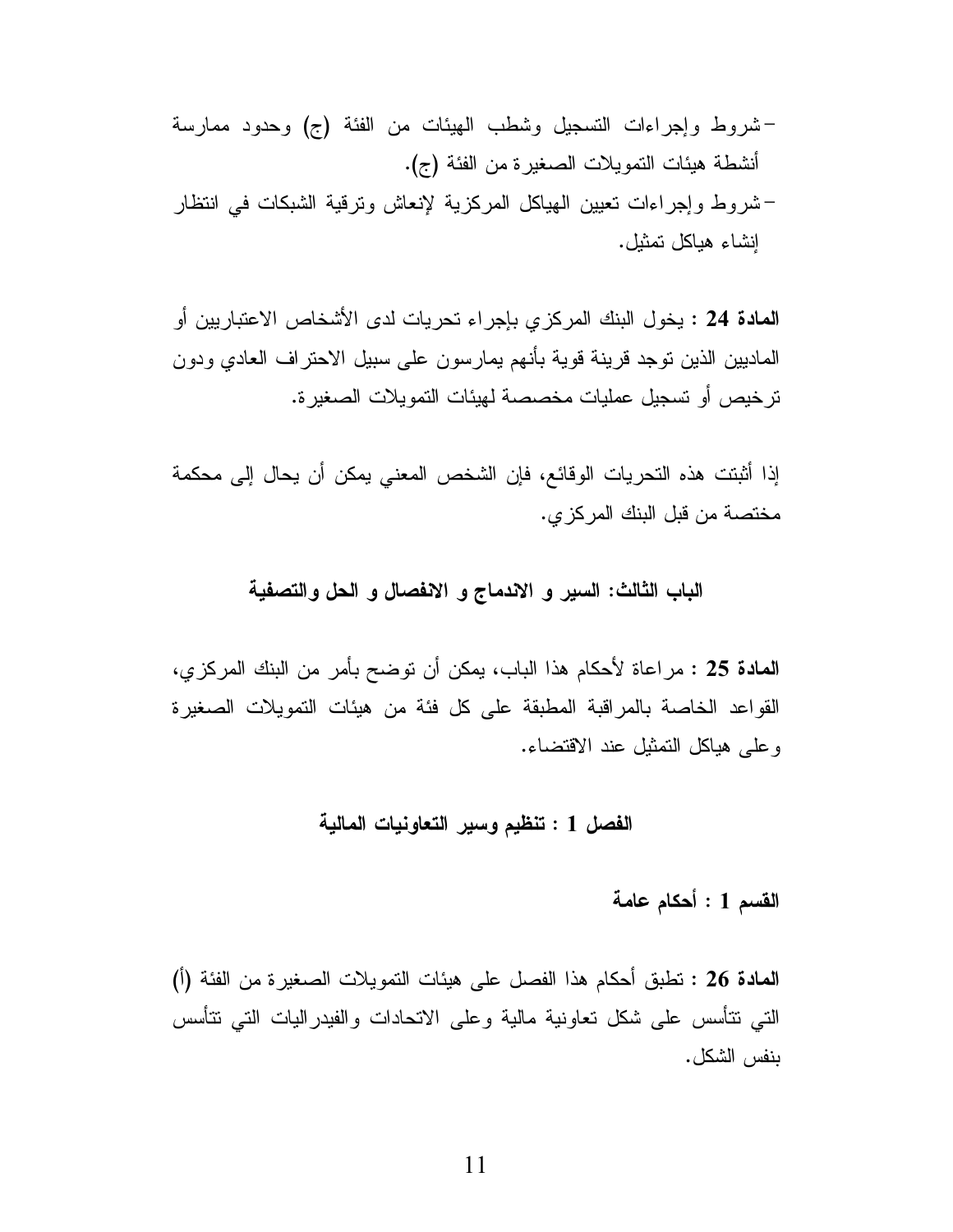ا**لمادة 24** : يخول البنك المركز ي بإجراء تحريات لدى الأشخاص الاعتباريين أو الماديين الذين نوجد قرينة قوية بأنهم يمارسون على سبيل الاحتراف العادي ودون ترخيص أو تسجيل عمليات مخصصة لهيئات التمويلات الصغيرة.

إذا أثبتت هذه التحريات الوقائع، فإن الشخص المعني يمكن أن يحال إلى محكمة مختصة من قبل البنك المركز ي.

### الباب الثالث: السير و الاندماج و الانفصال و الحل والتصفية

ا**لمادة 25** : مراعاة لأحكام هذا الباب، يمكن أن نوضح بأمر من البنك المركزي، القواعد الخاصية بالمراقبة المطبقة على كل فئة من هيئات التمويلات الصغيرة وعلى هياكل التمثيل عند الاقتضاء.

## الفصل 1 : تنظيم وسير التعاونيات المالية

# القسم 1 : أحكام عامة

المعادة 26 : تطبق أحكام هذا الفصل على هيئات التمويلات الصغيرة من الفئة (أ) التبي نتأسس علىي شكل تعاونية مالية وعلى الاتحادات والفيدراليات التبي نتأسس بنفس الشكل.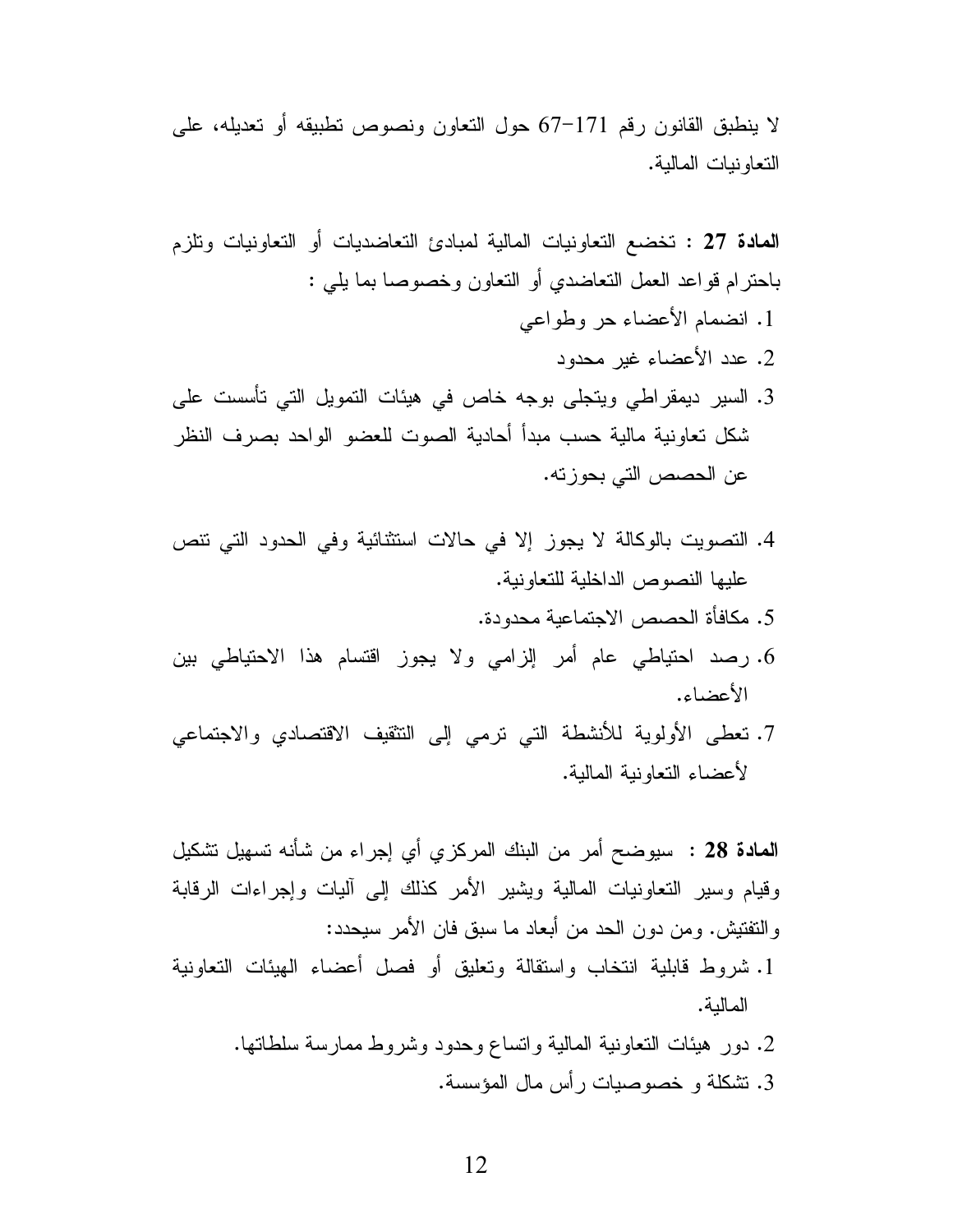لا ينطبق القانون رقم 171–67 حول النعاون ونصوص نطبيقه أو نعديله، على التعاونيات المالية.

- 4. التصويت بالوكالة لا يجوز إلا في حالات استثنائية وفي الحدود التي نتص عليها النصوص الداخلية للتعاونية.
	- 5. مكافأة الحصص الاجتماعية محدودة.
- 6. رصد احتياطي عام أمر إلزامي ولا يجوز اقتسام هذا الاحتياطي بين الأعضاء.
- 7. نعطي الأولوية للأنشطة التي نرمي إلى التثقيف الاقتصادي والاجتماعي لأعضباء النعاونية المالية.

ا**لمادة 28** : سيوضح أمر من البنك المركزي أي إجراء من شأنه تسهيل تشكيل وقيام وسير التعاونيات المالية ويشير الأمر كذلك إلى أليات وإجراءات الرقابة والنفتيش. ومن دون الحد من أبعاد ما سبق فان الأمر سبحدد:

- 1. شروط قابلية انتخاب واستقالة وتعليق أو فصل أعضاء الهيئات التعاونية المالية.
	- 2. دور هيئات التعاونية المالية وانساع وحدود وشروط ممارسة سلطاتها. 3. تشكلة و خصوصيات رأس مال المؤسسة.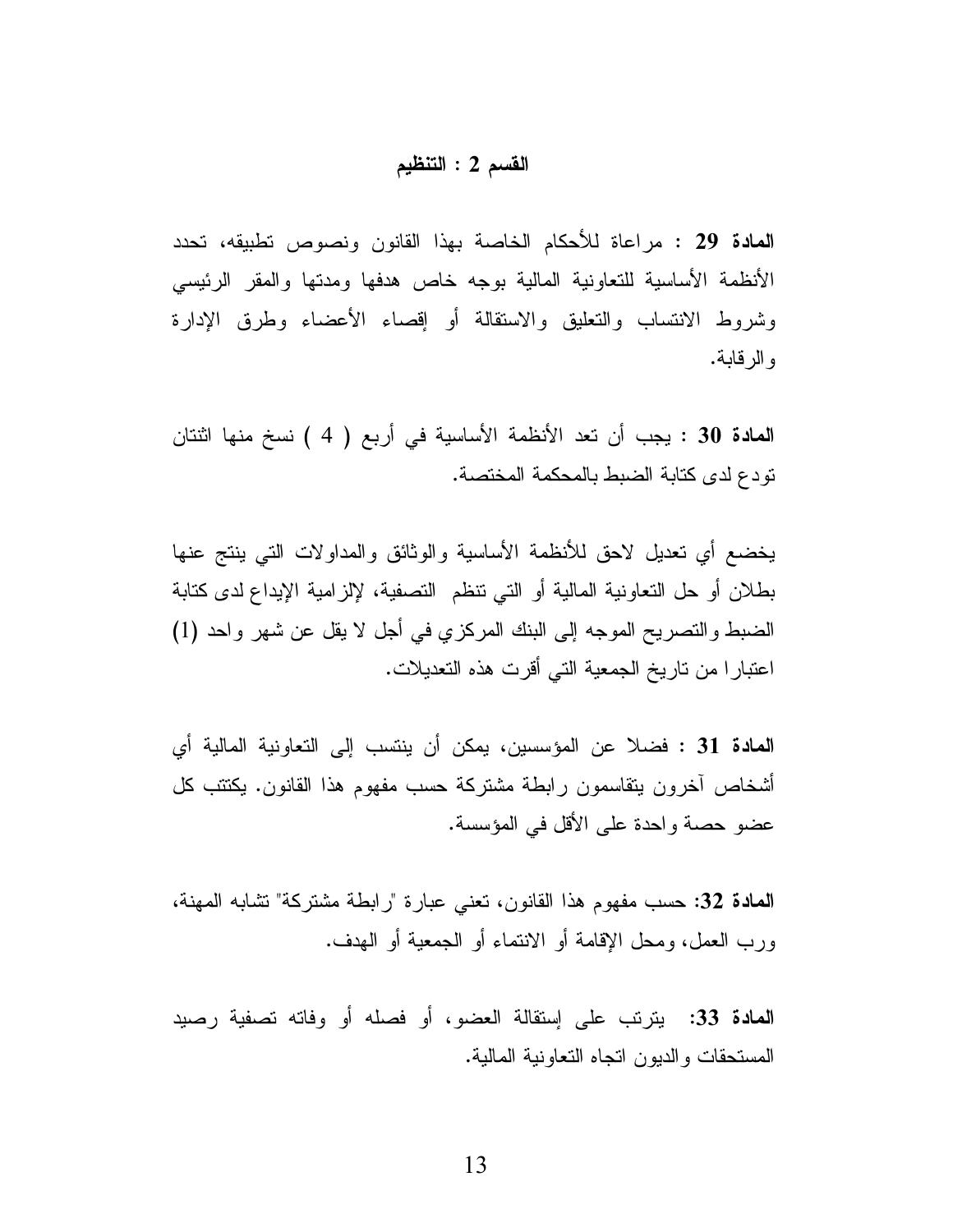### القسم 2 : التنظيم

المعادة 29 : مراعاة للأحكام الخاصة بهذا القانون ونصوص تطبيقه، تحدد الأنظمة الأساسية للتعاونية المالية بوجه خاص هدفها ومدتها والمقر الرئيسي وشروط الانتساب والتعليق والاستقالة أو إقصاء الأعضاء وطرق الإدارة و الر قابة.

ا**لمادة 30** : يجب أن تعد الأنظمة الأساسية في أربع ( 4 ) نسخ منها اثنتان نودع لدى كتابة الضبط بالمحكمة المختصة.

يخضع أي نعديل لاحق للأنظمة الأساسية والوثائق والمداولات التبي ينتج عنها بطلان أو حل التعاونية المالية أو التي نتظم التصفية، لإلزامية الإيداع لدى كتابة الضبط والنصريح الموجه إلى البنك المركزي في أجل لا يقل عن شهر واحد (1) اعتبار ا من تاريخ الجمعية التي أقرت هذه التعديلات.

**المادة 31 : فض**لا عن المؤسسين، يمكن أن ينتسب إلى التعاونية المالية أي أشخاص أخرون يتقاسمون رابطة مشتركة حسب مفهوم هذا القانون. يكتتب كل عضو حصنة واحدة على الأقل في المؤسسة.

المعادة 32: حسب مفهوم هذا القانون، تعني عبارة "رابطة مشتركة" نشابه المهنة، ورب العمل، ومحل الإقامة أو الانتماء أو الجمعية أو الهدف.

المعادة 33: يتربَّب على إستقالة العضو، أو فصله أو وفاته تصفية رصيد المستحقات والديون اتجاه التعاونية المالية.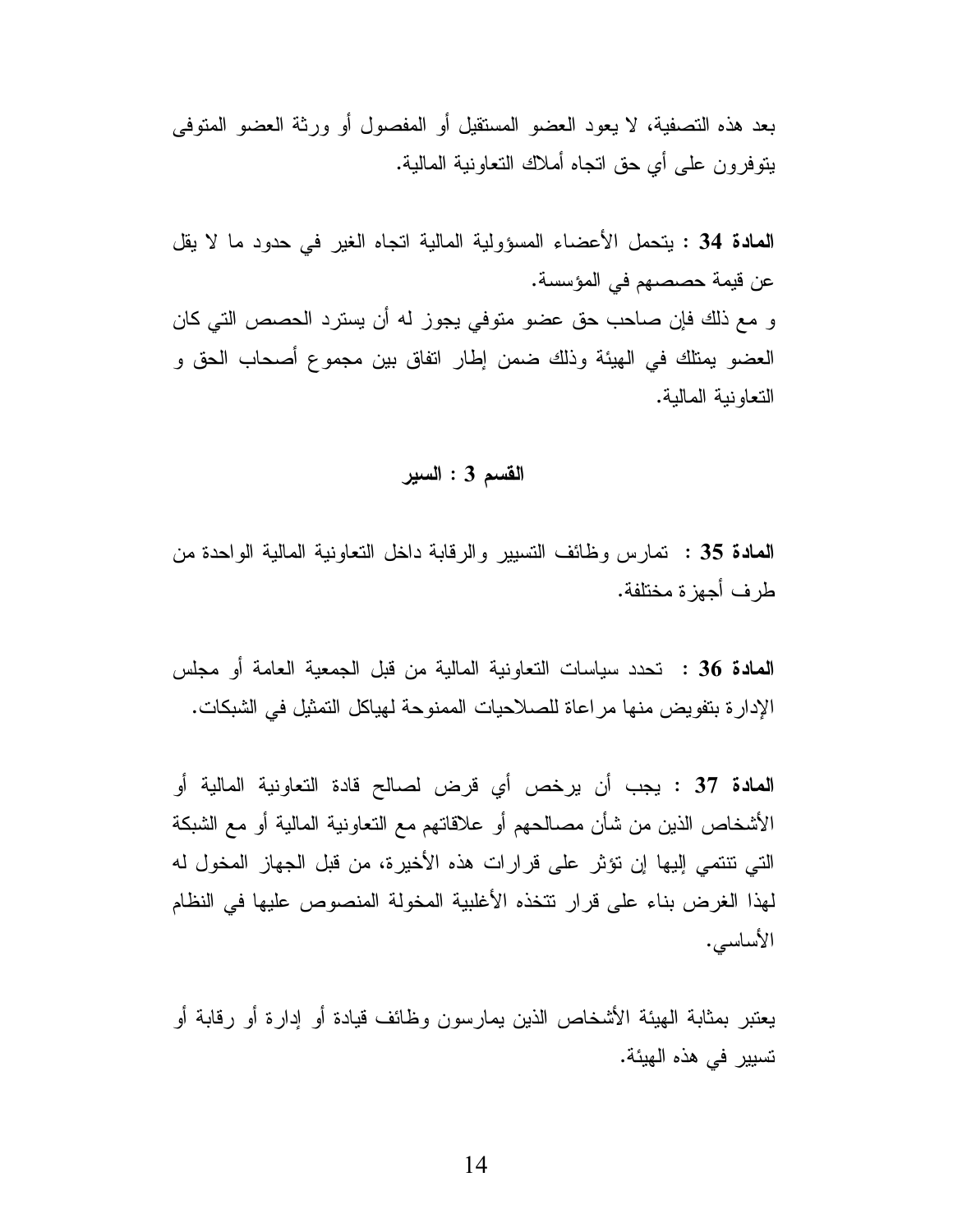بعد هذه التصفية، لا يعود العضو المستقيل أو المفصول أو ورثة العضو المتوفى بِنَّوفِرونِ علي أي حقٍّ اتَّجاه أملاك النَّعاونية المالية.

المعادة 34 : يتحمل الأعضاء المسؤولية المالية اتجاه الغير في حدود ما لا يقل عن قيمة حصصهم في المؤسسة. و مع ذلك فإن صاحب حق عضو متوفى يجوز له أن يسترد الحصص التي كان العضو يمتلك في الهيئة وذلك ضمن إطار انفاق بين مجموع أصحاب الحق و التعاونية المالية.

## القسم 3 : السير

**المعادة 35 :** تمارس وظائف التسيير والرقابة داخل التعاونية المالية الواحدة من طر ف أحهز ة مختلفة.

**المادة 36 :** تحدد سياسات التعاونية المالية من قبل الجمعية العامة أو مجلس الإدار ة بتفويض منها مر اعاة للصلاحيات الممنوحة لهياكل التمثيل في الشبكات.

المعادة 37 : يجب أن يرخص أي قرض لصالح قادة التعاونية المالية أو الأشخاص الذين من شأن مصـالحهم أو علاقاتهم مـع التعاونية المالية أو مـع الشبكة التي نتتمي إليها إن نؤثر على قرارات هذه الأخيرة، من قبل الجهاز المخول له لهذا الغرض بناء على قرار نتخذه الأغلبية المخولة المنصوص عليها في النظام الأساسي.

يعتبر بمثابة الهيئة الأشخاص الذين يمارسون وظائف قيادة أو إدارة أو رقابة أو تسيير في هذه الهيئة.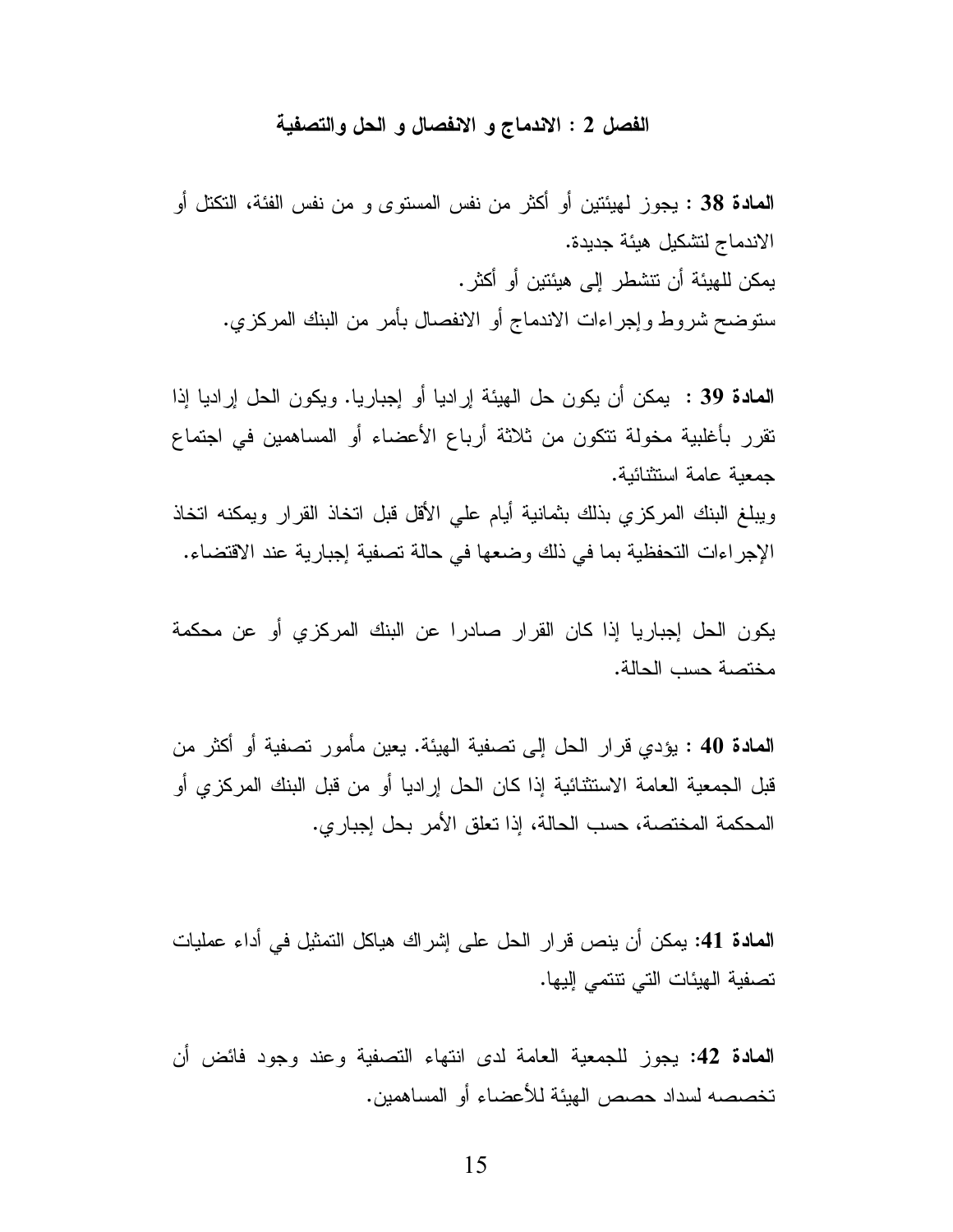#### الفصل 2 : الاندماج و الانفصال و الحل والتصفية

المعادة 38 : يجوز لمهيئتين أو أكثر من نفس المستوى و من نفس الفئة، التكتل أو الاندماج لتشكيل هيئة جديدة. يمكن للهيئة أن تتشطر إلى هيئتين أو أكثر . ستوضح شروط وإجراءات الاندماج أو الانفصال بأمر من البنك المركزي.

المعادة 39 : يمكن أن يكون حل الهيئة إراديا أو إجباريا. ويكون الحل إراديا إذا نقرر بأغلبية مخولة نتكون من ثلاثة أرباع الأعضاء أو المساهمين في اجتماع جمعبة عامة استثنائبة.

ويبلغ البنك المركزي بذلك بثمانية أيام على الأقل قبل اتخاذ القرار ويمكنه اتخاذ الإجراءات التحفظية بما في ذلك وضعها في حالة تصفية إجبارية عند الاقتضاء.

يكون الحل إجباريا إذا كان القرار صادرا عن البنك المركزي أو عن محكمة مختصة حسب الحالة.

ا**لمادة 40** : يؤدي قرار الحل إلى نصفية الهيئة. يعين مأمور نصفية أو أكثر من قبل الجمعية العامة الاستثنائية إذا كان الحل إراديا أو من قبل البنك المركزي أو المحكمة المختصة، حسب الحالة، إذا تعلق الأمر بحل إجبار ي.

ا**لمادة 41:** يمكن أن ينص قرار الحل على إشراك هياكل التمثيل في أداء عمليات نصفية الهيئات التي نتنمي إليها.

المعادة 42: يجوز للجمعية العامة لدى انتهاء التصفية وعند وجود فائض أن تخصصه لسداد حصص الهبئة للأعضاء أو المساهمبن.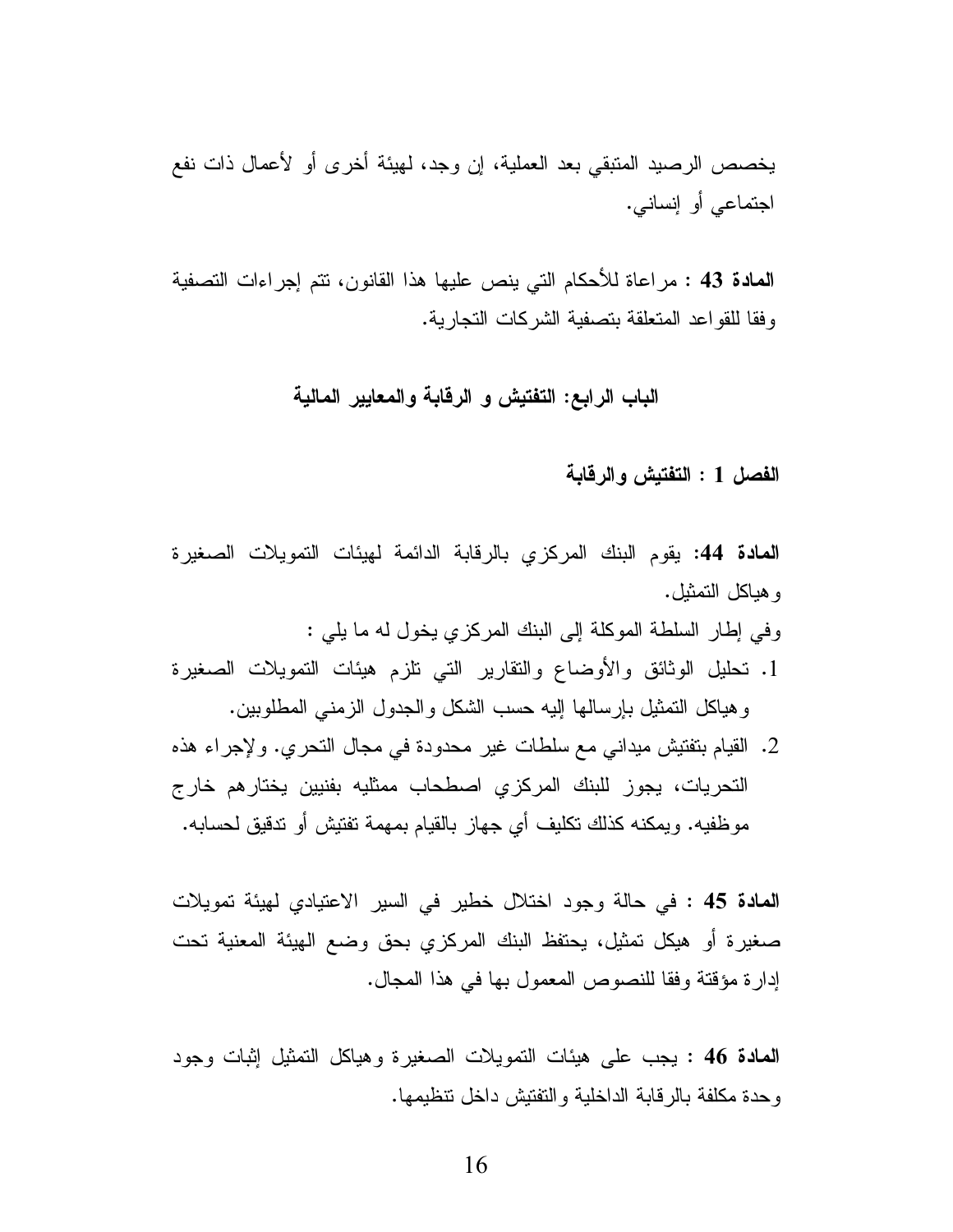يخصص الرصيد المنبقي بعد العملية، إن وجد، لهيئة أخرى أو لأعمال ذات نفع اجتماعي أو إنساني.

المعادة 43 : مراعاة للأحكام التي ينص عليها هذا القانون، تتم إجراءات التصفية و فقا للقو اعد المتعلقة بتصفية الشركات التجارية.

# الباب الرابع: التفتيش و الرقابة والمعايير المالية

#### الفصل 1 : التفتيش والرقابة

**المادة 44:** يقوم البنك المركزي بالرقابة الدائمة لهيئات النمويلات الصغيرة و هباكل التمثيل.

وفي إطار السلطة الموكلة إلى البنك المركزي بخول له ما يلي :

- 1. تحليل الوثائق والأوضاع والنقارير التبي تلزم هيئات التمويلات الصغيرة وهياكل النمثيل بإرسالها إليه حسب الشكل والجدول الزمنبي المطلوبين.
- 2. القيام بتفتيش ميداني مع سلطات غير محدودة في مجال التحري. ولإجراء هذه التحريات، يجوز للبنك المركزى اصطحاب ممثليه بفنيين يختارهم خارج مو ظفيه. و يمكنه كذلك تكليف أي جهاز ٍ بالقيام بمهمة تفتيش أو تدقيق لحسابه.

**المادة 45 : في حالة وجود اختلال خطير في السير الاعتيادي لهيئة تمويلات** صغيرة أو هيكل تمثيل، يحتفظ البنك المركزي بحق وضع الهيئة المعنية تحت إدار ة مؤقتة وفقا للنصوص المعمول بها في هذا المجال.

المعادة 46 : يجب على هيئات النمويلات الصغيرة وهياكل النمثيل إثبات وجود و حدة مكلفة بالر قابة الداخلية و التفتيش داخل تتظيمها.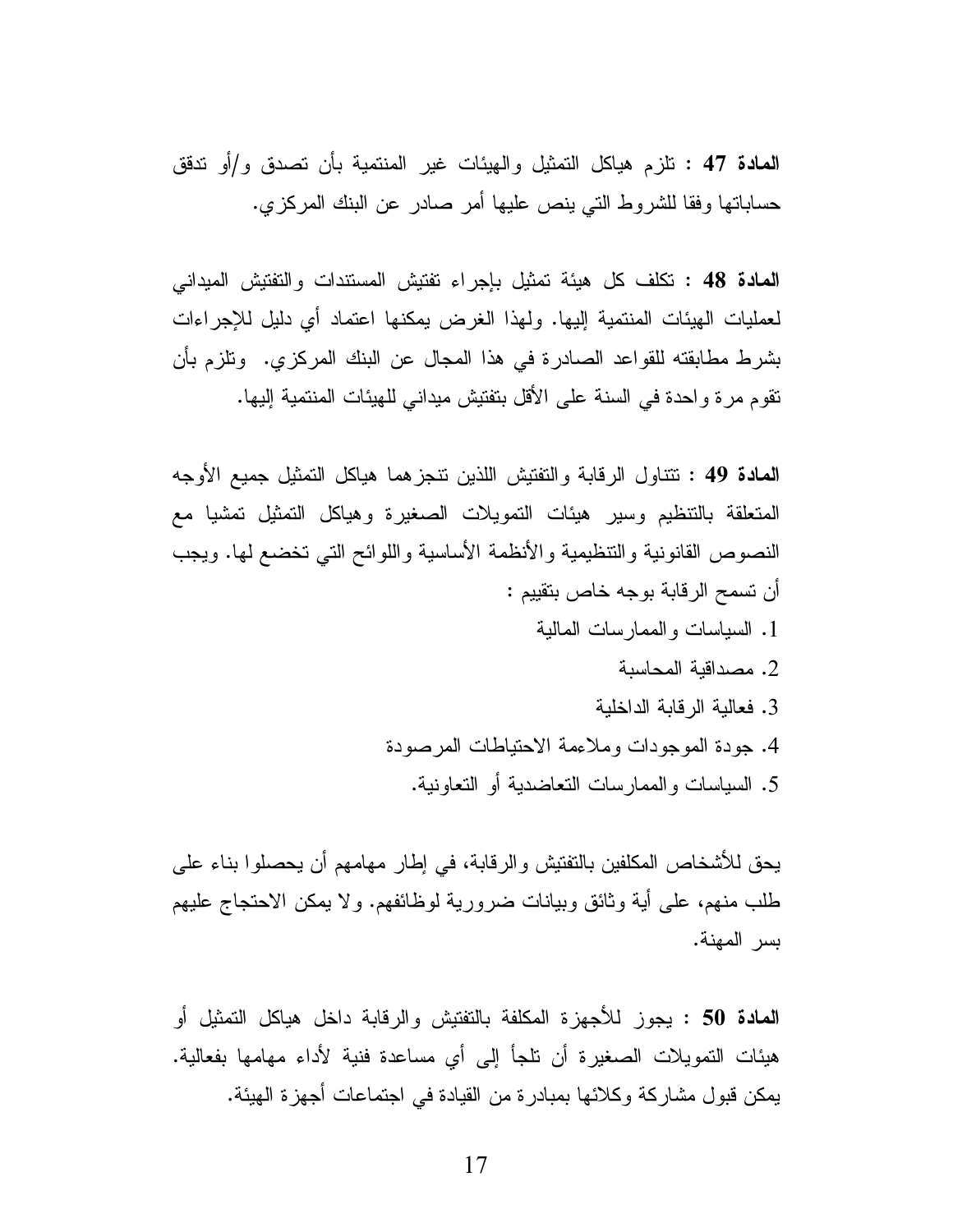**المادة 47 :** تلزم هياكل التمثيل والهيئات غير المنتمية بأن تصدق و/أو تدقق حساباتها وفقا للشروط التي ينص عليها أمر صادر عن البنك المركزي.

المعادة 48 : تكلف كل هيئة تمثيل بإجراء تفتيش المستندات والتفتيش الميداني لعمليات الهيئات المنتمية إليها. ولهذا الغرض يمكنها اعتماد أي دليل للإجراءات بشرط مطابقته للقواعد الصادرة في هذا المجال عن البنك المركزي. ونلزم بأن نقوم مرة واحدة في السنة على الأقل بتفتيش ميداني للهيئات المنتمية إليها.

المعادة 49 : نتناول الرقابة والتفتيش اللذين نتجزهما هياكل التمثيل جميع الأوجه المتعلقة بالتنظيم وسير هيئات النمويلات الصغيرة وهياكل النمثيل تمشيا مع النصوص القانونية والتنظيمية والأنظمة الأساسية واللوائح التي تخضع لمها. ويجب أن تسمح الرقابة بوجه خاص بتقييم : 1. السياسات والممارسات المالية

- 2. مصداقية المحاسبة
- 3. فعالبة الر قابة الداخلبة
- 4. جودة الموجودات وملاءمة الاحتياطات المرصودة
	- 5. السياسات و الممار سات التعاضدية أو التعاونية.

يحق للأشخاص المكلفين بالنفتيش و الر قابة، في إطار ٍ مهامهم أن يحصلو ا بناء على طلب منهم، على أية وثائق وبيانات ضرورية لوظائفهم. ولا يمكن الاحتجاج عليهم بسر المهنة.

**المعادة 50 :** يجوز للأجهزة المكلفة بالتفتيش والرقابة داخل هياكل التمثيل أو هبِئات النَّمويلات الصغيرة أن نلجأ إلى أي مساعدة فنية لأداء مهامها بفعالية. بِمكن قبول مشار كة وكلائها بِمبادر ة من القيادة في اجتماعات أجهز ة الهيئة.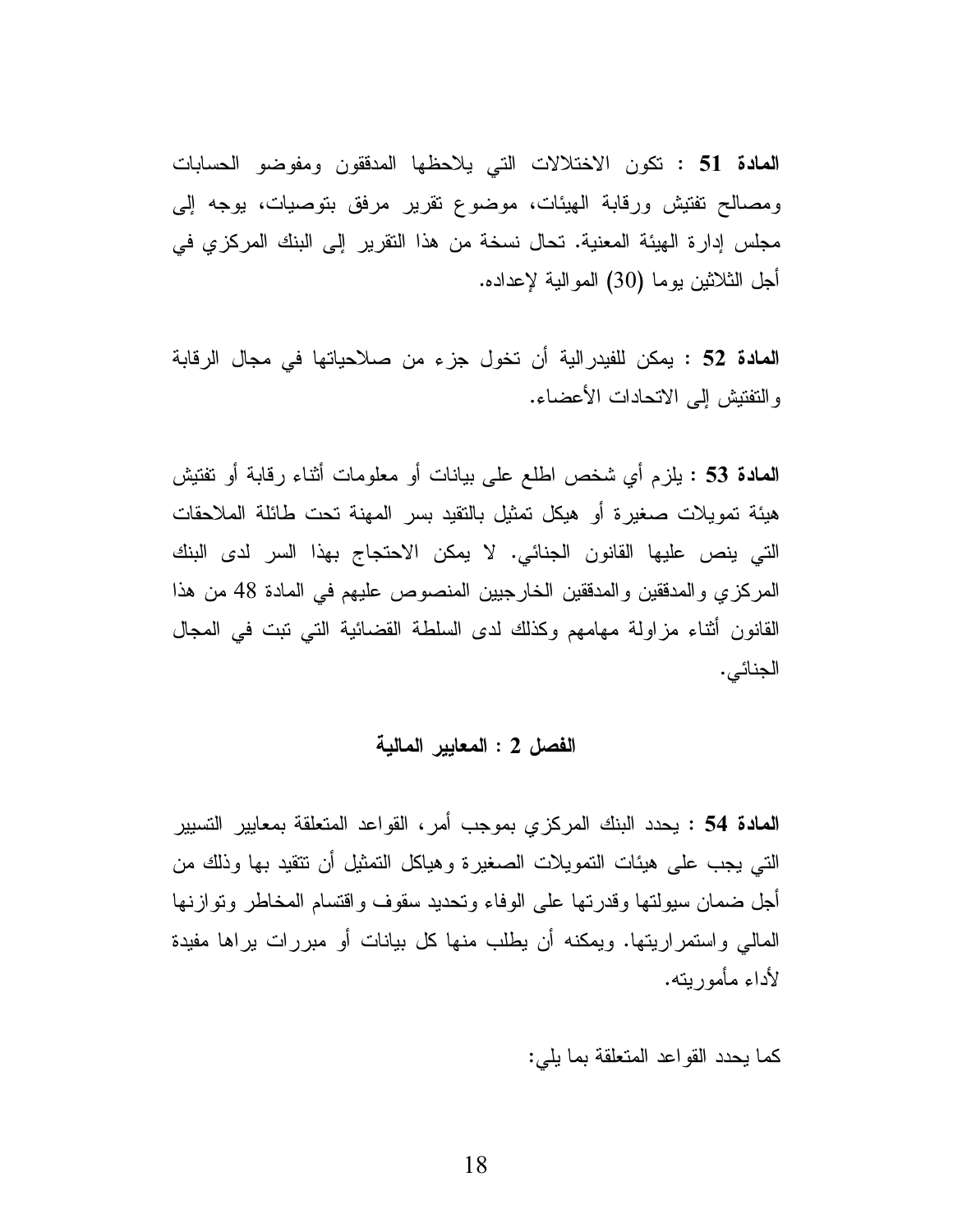المعادة 51 : تكون الاختلالات التي يلاحظها المدفقون ومفوضو الحسابات ومصالح نفتيش ورقابة الهيئات، موضوع نقرير مرفق بتوصيات، يوجه إلى مجلس إدارة الهيئة المعنية. تحال نسخة من هذا النقرير إلى البنك المركزي في أجل الثلاثين بوما (30) الموالية لإعداده.

**المادة 52 :** يمكن للفيدر الية أن تخول جزء من صلاحياتها في مجال الرقابة والتفتيش إلى الاتحادات الأعضاء.

**المعادة 53 :** يلزم أي شخص اطلع على بيانات أو معلومات أثناء رقابة أو تفتيش هيئة تمويلات صغيرة أو هيكل تمثيل بالنقيد بسر المهنة تحت طائلة الملاحقات التي ينص عليها القانون الجنائي. لا يمكن الاحتجاج بهذا السر لدى البنك المركزي والمدققين والمدققين الخارجيين المنصوص عليهم في المادة 48 من هذا القانون أثناء مزاولة مهامهم وكذلك لدى السلطة القضائية التي نبت في المجال الجنائي.

#### الفصل 2 : المعايير المالية

ا**لمادة 54 :** يحدد البنك المركزي بموجب أمر، القواعد المتعلقة بمعايير التسيير التي يجب على هيئات النمويلات الصغير ة و هياكل النمثيل أن نتقيد بها وذلك من أجل ضمان سيولتها وقدرتها على الوفاء وتحديد سقوف واقتسام المخاطر وتوازنها المالي واستمراريتها. ويمكنه أن يطلب منها كل بيانات أو مبررات يراها مفيدة لأداء مأموربته.

كما يحدد القواعد المتعلقة بما يلي: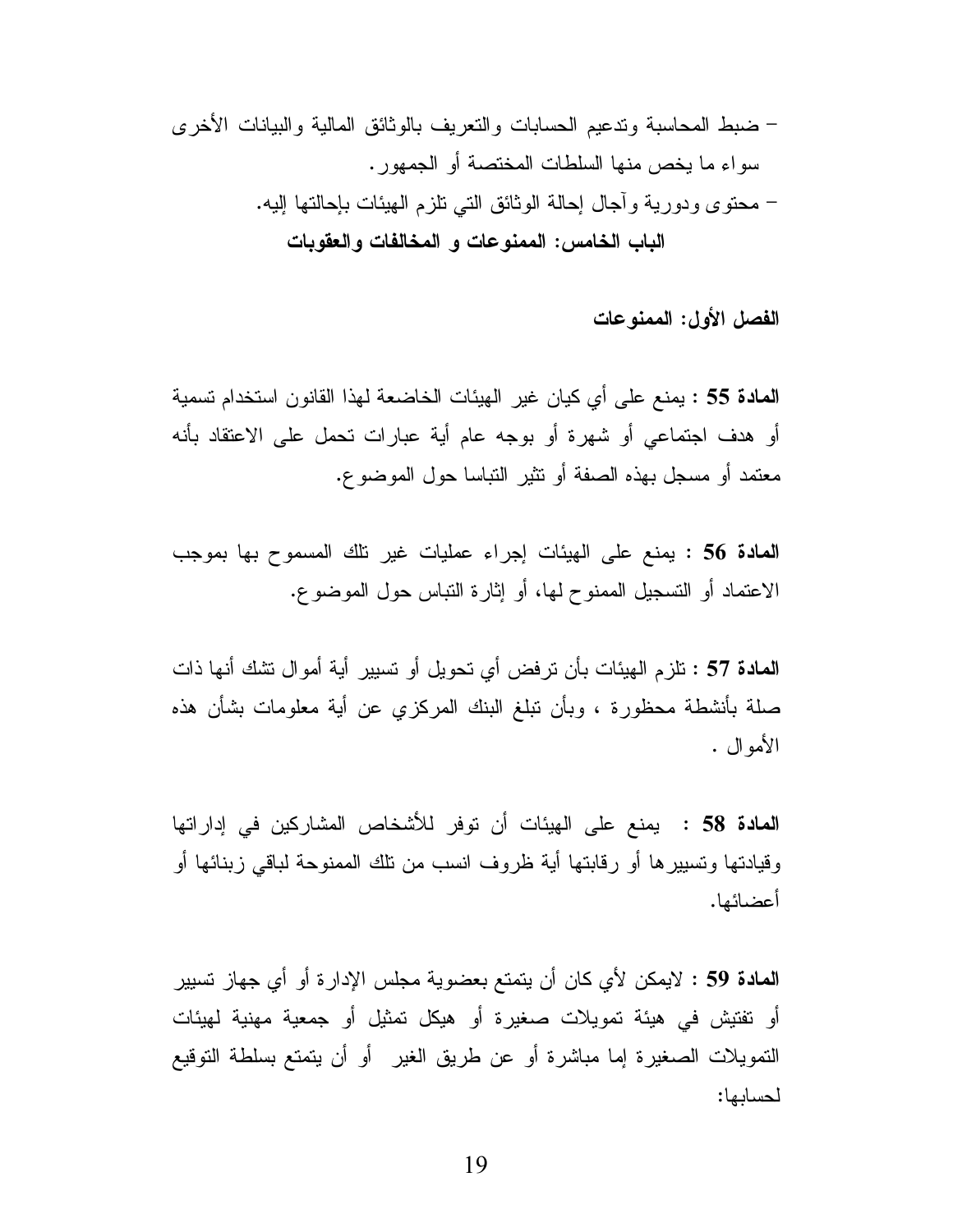الفصل الأول: الممنوعات

المعادة 55 : يمنع على أي كيان غير الهيئات الخاضعة لهذا القانون استخدام تسمية أو هدف اجتماعي أو شهرة أو بوجه عام أية عبارات تحمل على الاعتقاد بأنه معتمد أو مسجل بهذه الصفة أو تثير التباسا حول الموضوع.

المعادة 56 : يمنع على الهيئات إجراء عمليات غير نلك المسموح بها بموجب الاعتماد أو التسجيل الممنوح لها، أو إثارة التباس حول الموضوع.

**المعادة 57 :** تلزم الهيئات بأن ترفض أي تحويل أو تسبير أية أموال تشك أنها ذات صلة بأنشطة محظورة ، وبأن تبلغ البنك المركزي عن أية معلومات بشأن هذه الأموال .

**المادة 58 :** يمنع على الهيئات أن نوفر للأشخاص المشاركين في إداراتها وقيادتها وتسيير ها أو رقابتها أية ظروف انسب من نلك الممنوحة لباقي زينائها أو أعضائها.

المعادة 59 : لايمكن لأي كان أن يتمتع بعضوية مجلس الإدارة أو أي جهاز تسيير أو تفتيش في هيئة تمويلات صغيرة أو هيكل تمثيل أو جمعية مهنية لهيئات النمويلات الصغيرة إما مباشرة أو عن طريق الغير أو أن يتمتع بسلطة التوقيع لحسابها: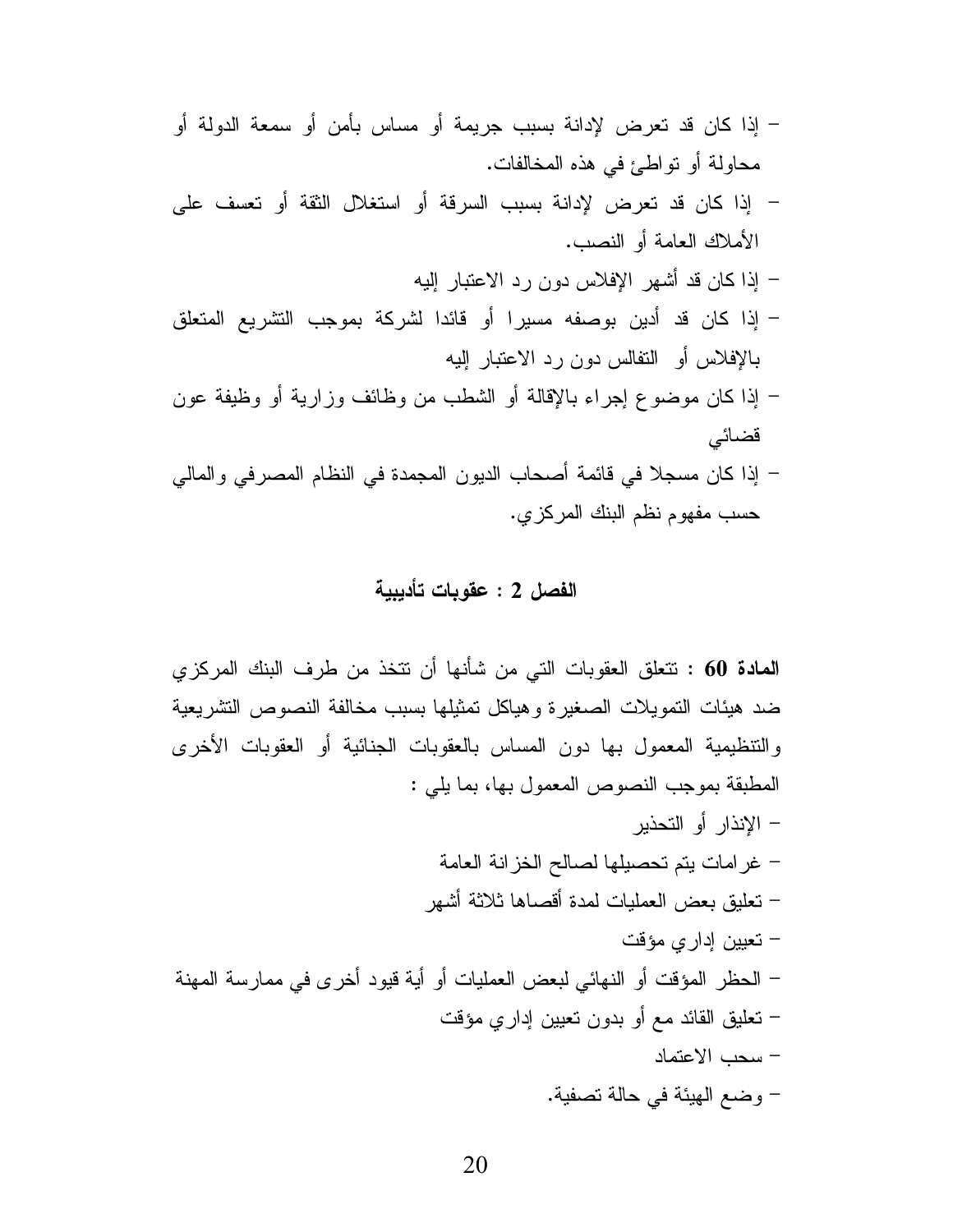- إذا كان قد تعرض لإدانة بسبب جريمة أو مساس بأمن أو سمعة الدولة أو محاولة أو تواطئ في هذه المخالفات.
- إذا كان قد تعرض لإدانة بسبب السرقة أو استغلال الثقة أو تعسف على الأملاك العامة أو النصب.
	- إذا كان قد أشهر الإفلاس دون رد الاعتبار إليه
- إذا كان قد أدين بوصفه مسيرا أو قائدا لشركة بموجب التشريع المتعلق بالإفلاس أو النفالس دون رد الاعتبار اليه
- إذا كان موضوع إجراء بالإقالة أو الشطب من وظائف وزارية أو وظيفة عون قضائے
- إذا كان مسجلا في قائمة أصحاب الديون المجمدة في النظام المصرفي والمالي حسب مفهوم نظم البنك المركزي.

## الفصل 2 : عقوبات تأديبية

**المادة 60 :** نتعلق العقوبات التي من شأنها أن نتخذ من طرف البنك المركزي ضد هيئات النمويلات الصغيرة وهياكل تمثيلها بسبب مخالفة النصوص النشريعية والتنظيمية المعمول بها دون المساس بالعقوبات الجنائية أو العقوبات الأخرى المطبقة بموجب النصوص المعمول بها، بما يلي : – الإنذار أو التحذير – غر امات يتم تحصيلها لصالح الخز انة العامة – تعليق بعض العمليات لمدة أقصاها ثلاثة أشهر – تعيين إدار ي مؤقت – الحظر المؤقت أو النهائي لبعض العمليات أو أية قيود أخرى في ممارسة المهنة – نعليق القائد مع أو بدون نعيين إداري مؤقت – سحب الاعتماد – وضع الهيئة في حالة تصفية.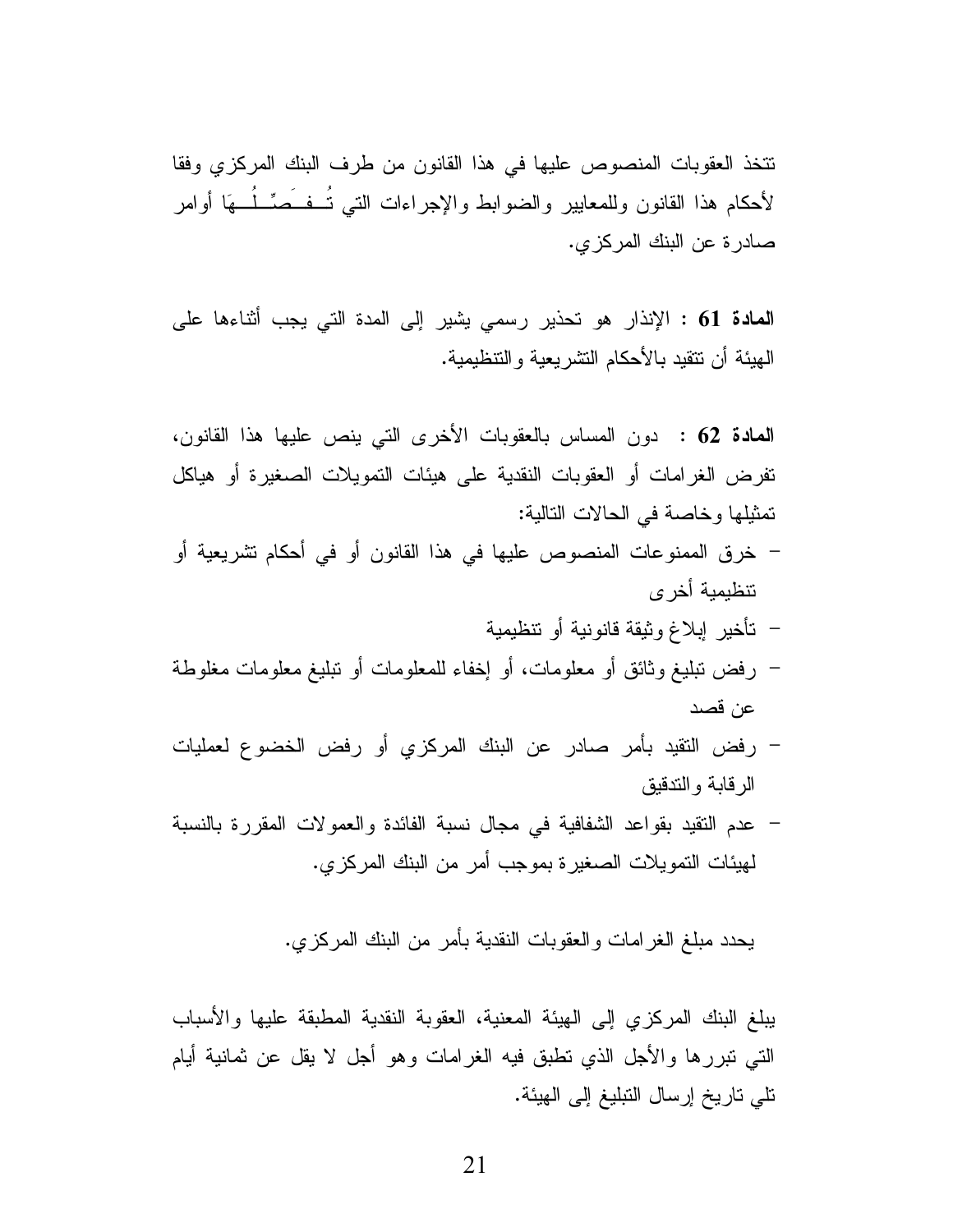نتخذ العقوبات المنصوص عليها في هذا القانون من طرف البنك المركزي وفقا لأحكام هذا القانون وللمعابير والضوابط والإجراءات التى تُسفَعَمٍّ لُم هَا أوامر صادرة عن البنك المركزي.

**المادة 61 :** الإنذار هو تحذير رسمي يشير إلى المدة التي يجب أثناءها على المِيئة أن تتقيد بالأحكام التشر يعية و التنظيمية.

المعادة 62 : دون المساس بالعقوبات الأخرى التي ينص عليها هذا القانون، تفرض الغرامات أو العقوبات النقدية على هيئات التمويلات الصغيرة أو هياكل تمثيلها وخاصة في الحالات التالية:

- خرق الممنوعات المنصوص عليها في هذا القانون أو في أحكام تشريعية أو تتظيمية أخر ي
	- تأخير إبلاغ وثيقة قانونية أو تتظيمية
- رفض نبليغ وثائق أو معلومات، أو إخفاء للمعلومات أو نبليغ معلومات مغلوطة عن قصد
- رفض النقيد بأمر صادر عن البنك المركزي أو رفض الخضوع لعمليات الرقابة والتدقيق
- عدم النقيد بقواعد الشفافية في مجال نسبة الفائدة والعمولات المقررة بالنسبة لمهيئات التمويلات الصغير ة بموجب أمر من البنك المركز ي.

يحدد مبلغ الغر امات و العقوبات النقدية بأمر ٍ من البنك المركز ي.

يبلغ البنك المركزى إلى الهيئة المعنية، العقوبة النقدية المطبقة عليها والأسباب النَّبِي نَبْرِرِها والأجلِّ الذي نطَّبق فيه الغرامات وهو أجل لا يقل عن ثمانية أيام تلى تاريخ إرسال التبليغ إلى الهيئة.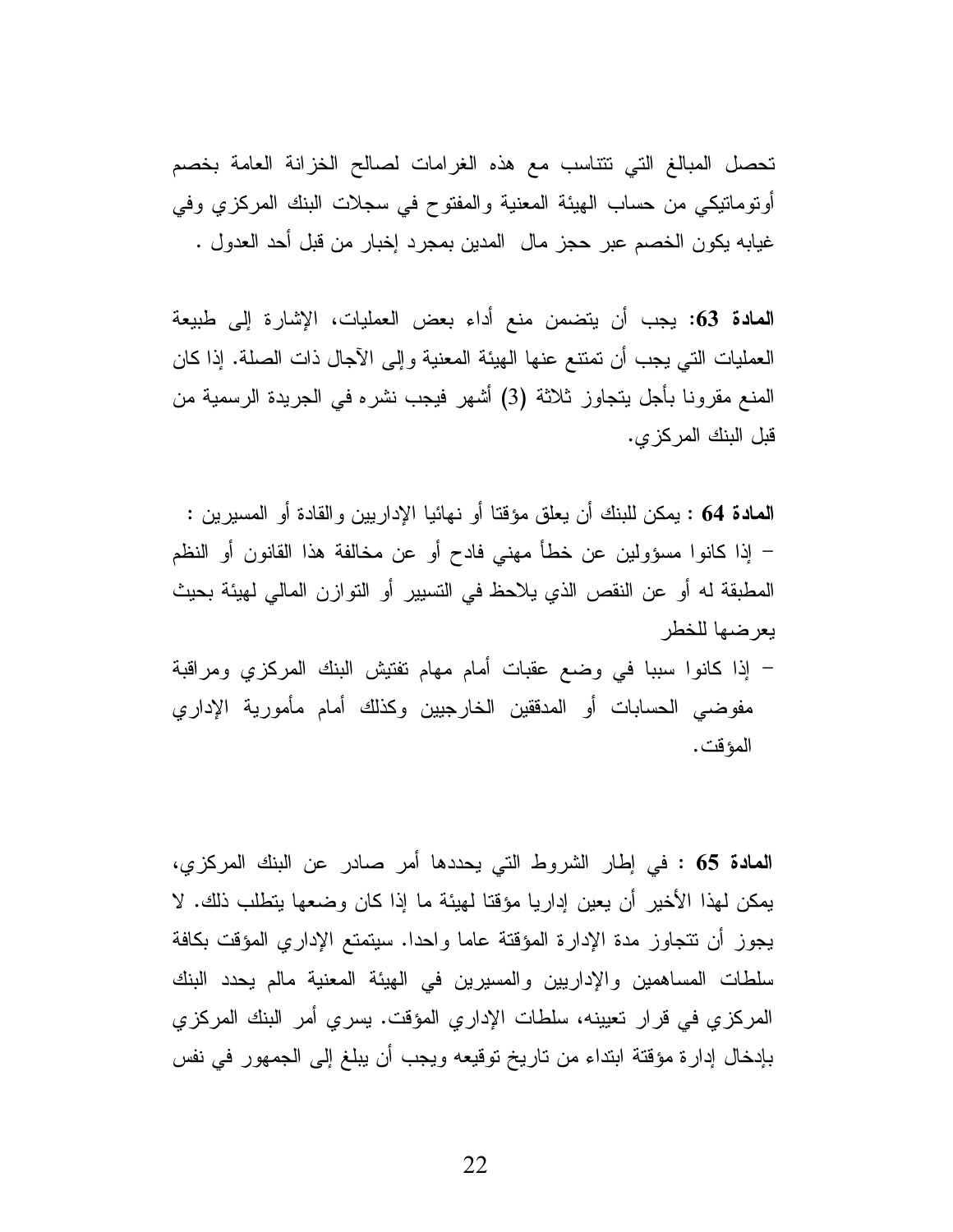تحصل المبالغ التي نتتاسب مع هذه الغرامات لصالح الخزانة العامة بخصم أونومانيكي من حساب الهيئة المعنية والمفتوح في سجلات البنك المركزي وفي غيابه يكون الخصم عبر حجز مال المدين بمجرد إخبار من قبل أحد العدول .

المعادة 63: يجب أن يتضمن منع أداء بعض العمليات، الإشارة إلى طبيعة العمليات التي يجب أن تمتنع عنها الهيئة المعنية وإلى الآجال ذات الصلة. إذا كان المنع مقرونا بأجل يتجاوز ثلاثة (3) أشهر فيجب نشره في الجريدة الرسمية من قبل البنك المركزي.

**المادة 64 :** يمكن للبنك أن يعلق مؤقتا أو نهائيا الإدار بين و القادة أو المسير بن : – إذا كانوا مسؤولين عن خطأ مهنى فادح أو عن مخالفة هذا القانون أو النظم المطبقة له أو عن النقص الذي يلاحظ في التسيير أو التوازن المالي لهيئة بحيث يعرضها للخطر

– إذا كانوا سببا في وضع عقبات أمام مهام تفتيش البنك المركزي ومراقبة مفوضىي الحسابات أو المدفقين الخارجيين وكذلك أمام مأمورية الإداري المؤقت.

المعادة 65 : في إطار الشروط التي يحددها أمر صادر عن البنك المركزي، بِمكن لهذا الأخير أن يعين إداريا مؤقتا لهيئة ما إذا كان وضعها يتطلب ذلك. لا يجوز أن نتجاوز مدة الإدارة المؤقتة عاما واحدا. سيتمتع الإداري المؤقت بكافة سلطات المساهمين والإداريين والمسيرين في الهيئة المعنية مالم يحدد البنك المركزي في قرار تعيينه، سلطات الإداري المؤقت. يسري أمر البنك المركزي بإدخال إدارة مؤقتة ابتداء من تاريخ توقيعه ويجب أن يبلغ إلى الجمهور في نفس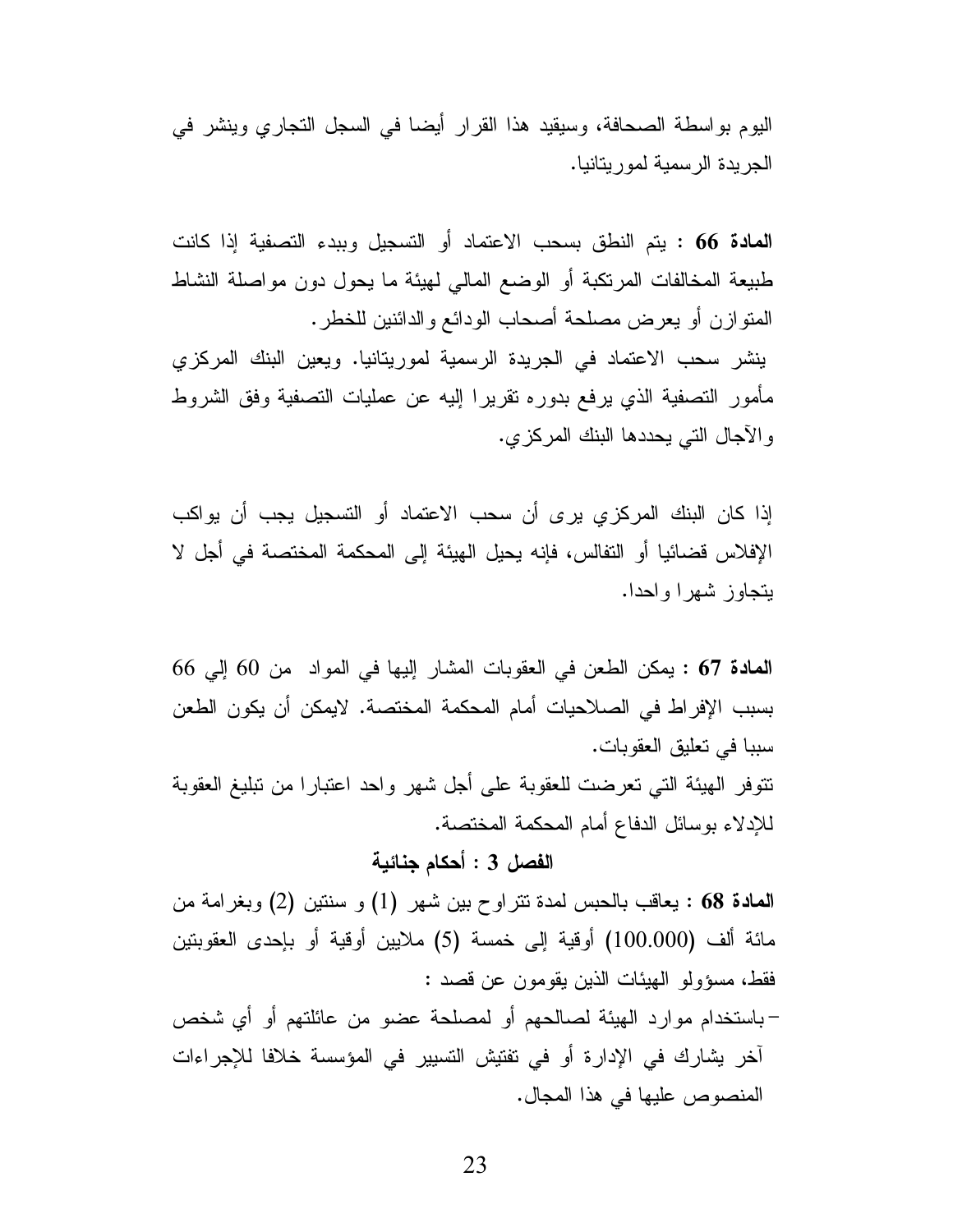اليوم بواسطة الصحافة، وسيقيد هذا القرار أيضا في السجل التجاري وينشر في الجريدة الرسمية لموريتانيا.

المعادة 66 : يتم النطق بسحب الاعتماد أو التسجيل وببدء التصفية إذا كانت طبيعة المخالفات المرتكبة أو الوضع المالي لهيئة ما يحول دون مواصلة النشاط المنوازن أو يعرض مصلحة أصحاب الودائع والدائنين للخطر . ينشر سحب الاعتماد في الجريدة الرسمية لموريتانيا. ويعين البنك المركزى مأمور التصفية الذي يرفع بدوره نقريرا إليه عن عمليات التصفية وفق الشروط و الأجال التي يحددها البنك المركزي.

إذا كان البنك المركزى برى أن سحب الاعتماد أو التسجيل يجب أن يواكب الإفلاس فضائيا أو التفالس، فإنه يحيل الهيئة إلى المحكمة المختصة في أجل لا يتجاوز شهرا واحدا.

المعادة 67 : يمكن الطعن في العقوبات المشار إليها في المواد من 60 إلى 66 بسبب الإفراط في الصـلاحيات أمام المحكمة المختصـة. لايمكن أن يكون الطعن سببا في تعليق العقوبات.

نتوفر الهيئة التي تعرضت للعقوبة على أجل شهر واحد اعتبارا من نبليغ العقوبة للإدلاء بوسائل الدفاع أمام المحكمة المختصة.

الفصل 3 : أحكام جنائية

المعادة 68 : يعاقب بالحبس لمدة تتراوح بين شهر (1) و سنتين (2) وبغرامة من مائة ألف (100.000) أوقية إلى خمسة (5) ملايين أوقية أو بإحدى العقوبتين فقط، مسؤولو الهيئات الذين يقومون عن قصد :

–باستخدام موارد الهيئة لصالحهم أو لمصلحة عضو من عائلتهم أو أي شخص آخر يشارك في الإدارة أو في تفتيش التسيير في المؤسسة خلافا للإجراءات المنصوص عليها في هذا المجال.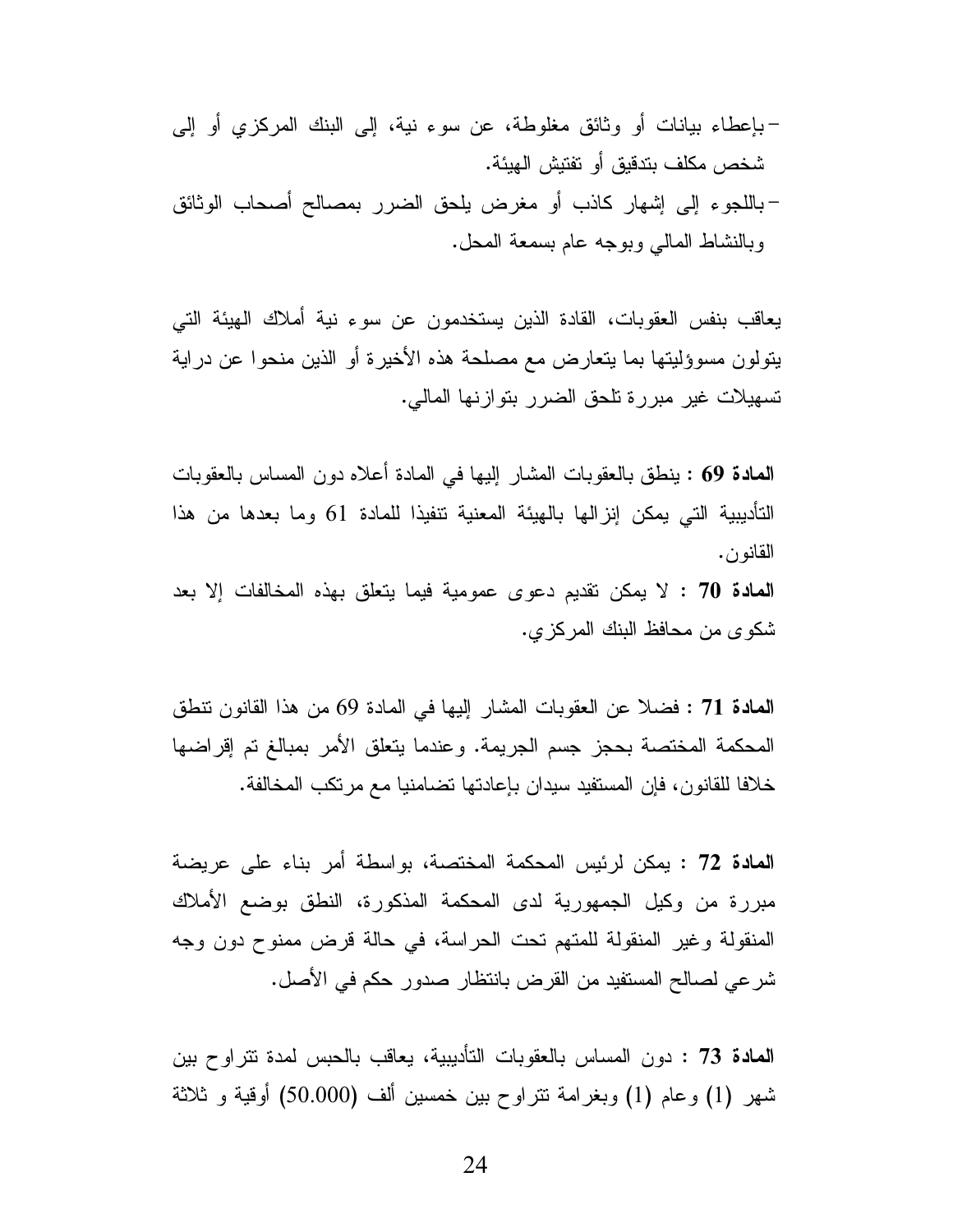يعاقب بنفس العقوبات، القادة الذين يستخدمون عن سوء نية أملاك الهيئة التي بِنَولُونِ مَسْوِئِلِيتِها بِمَا يَتَعَارِضَ مَعِ مَصْلَحَةٍ هَذِهِ الأَخْيِرِةِ أَوِ الذِّينِ مِنْحُوا عن دراية تسهيلات غير مبررة تلحق الضرر بتوازنها المالي.

**المعادة 69 :** ينطق بالعقوبات المشار إليها في المادة أعلاه دون المساس بالعقوبات التأديبية التي يمكن إنزالها بالهيئة المعنية نتفيذا للمادة 61 وما بعدها من هذا القانون.

المعادة 70 : لا يمكن تقديم دعوى عمومية فيما يتعلق بهذه المخالفات إلا بعد شكو ي من محافظ البنك المركز ي.

المعادة 71 : فضلا عن العقوبات المشار إليها في المادة 69 من هذا القانون نتطق المحكمة المختصة بحجز جسم الجريمة. وعندما يتعلق الأمر بمبالغ تم إقراضها خلافا للقانون، فإن المستفيد سيدان بإعادتها تضامنيا مع مر تكب المخالفة.

المعادة 72 : يمكن لرئيس المحكمة المختصنة، بواسطة أمر بناء على عريضة مبررة من وكيل الجمهورية لدى المحكمة المذكورة، النطق بوضع الأملاك المنقولة وغير المنقولة للمتهم تحت الحراسة، في حالة قرض ممنوح دون وجه شرعي لصالح المستفيد من القرض بانتظار صدور حكم في الأصل.

**المعادة 73 :** دون المساس بالعقوبات التأديبية، يعاقب بالحبس لمدة نتراوح بين شهر (1) وعام (1) وبغرامة نتراوح بين خمسين ألف (50.000) أوقية و ثلاثة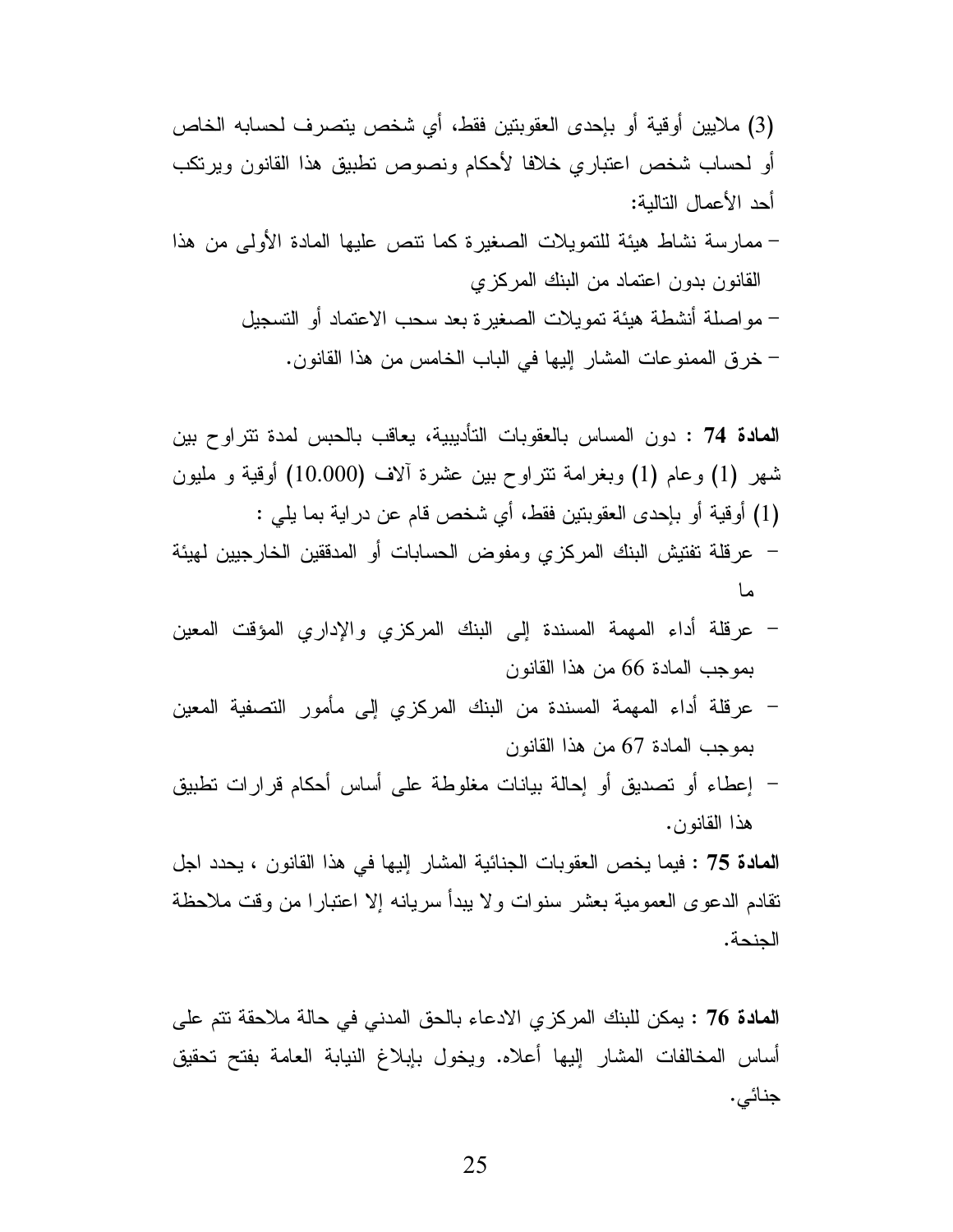- ممارسة نشاط هيئة للتمويلات الصغيرة كما نتص عليها المادة الأولى من هذا القانون بدون اعتماد من البنك المركزي
	- مو اصلة أنشطة هيئة تمويلات الصغير ة بعد سحب الاعتماد أو التسجيل – خرق الممنوعات المشار إليها في الباب الخامس من هذا القانون.

- عرقلة أداء المهمة المسندة إلى البنك المركزي والإداري المؤقت المعين بموجب المادة 66 من هذا القانون
- عرقلة أداء المهمة المسندة من البنك المركزي إلى مأمور التصفية المعين بموجب المادة 67 من هذا القانون
- إعطاء أو تصديق أو إحالة بيانات مغلوطة على أساس أحكام قرارات تطبيق هذا القانون.

المعادة 75 : فيما يخص العقوبات الجنائية المشار إليها في هذا القانون ، يحدد اجل نقادم الدعوى العمومية بعشر سنوات ولا يبدأ سريانه إلا اعتبارا من وقت ملاحظة الجنحة.

ا**لمادة 76** : يمكن للبنك المركزي الادعاء بالحق المدنى في حالة ملاحقة تتم على أساس المخالفات المشار إليها أعلاه. ويخول بإبلاغ النيابة العامة بفتح تحقيق جنائي.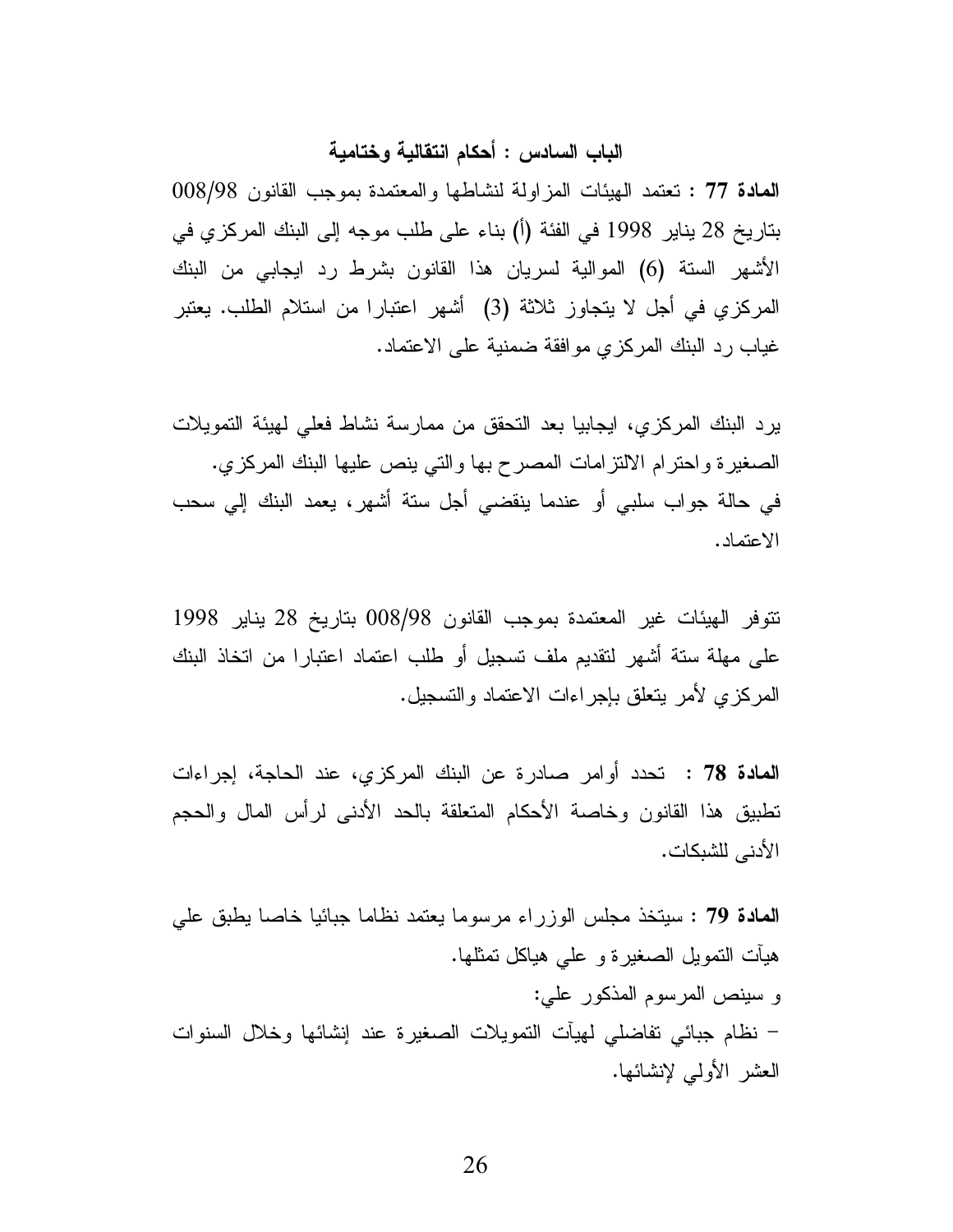# الباب السادس : أحكام انتقالية وختامية

المعادة 77 : تعتمد الهيئات المزاولة لنشاطها والمعتمدة بموجب القانون 98/98 بناريخ 28 يناير 1998 في الفئة (أ) بناء على طلب موجه إلى البنك المركزي في الأشهر السنة (6) الموالية لسريان هذا القانون بشرط رد ايجابي من البنك المركزي في أجل لا يتجاوز ثلاثة (3) أشهر اعتبارا من استلام الطلب. يعتبر غياب رد البنك المركزي موافقة ضمنية على الاعتماد.

يرد البنك المركزي، ايجابيا بعد النحقق من ممارسة نشاط فعلى لهيئة التمويلات الصغيرة واحترام الالنزامات المصرح بها والتي ينص عليها البنك المركزي. في حالة جواب سلبي أو عندما ينقضي أجل سنة أشهر، يعمد البنك إلى سحب الاعتماد.

تتوفر الهيئات غير المعتمدة بموجب القانون 98/98 بتاريخ 28 يناير 1998 على مهلة سنة أشهر لنقديم ملف تسجيل أو طلب اعتماد اعتبارا من اتخاذ البنك المركزي لأمر يتعلق بإجراءات الاعتماد والتسجيل.

**المادة 78 : ت**حدد أوامر صادرة عن البنك المركزي، عند الحاجة، إجراءات تطبيق هذا القانون وخاصة الأحكام المتعلقة بالحد الأدنبي لرأس المال والحجم الأدني للشبكات.

المعادة 79 : سيتخذ مجلس الوزراء مرسوما يعتمد نظاما جبائيا خاصا يطبق على هيأت النمويل الصغيرة و على هياكل نمثلها. و سينص المرسوم المذكور على: – نظام جبائي تفاضلي لمهيأت التمويلات الصغيرة عند إنشائها وخلال السنوات العشر الأولى لإنشائها.